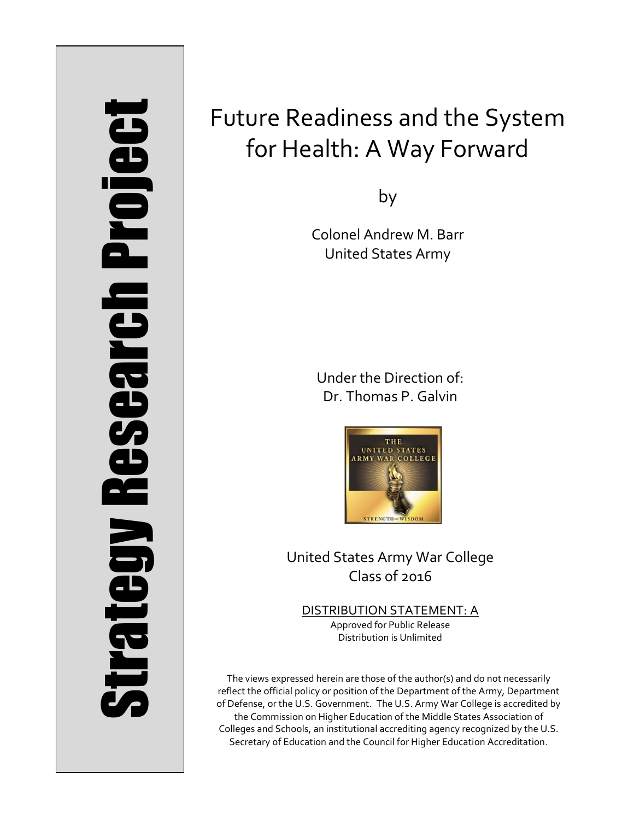# Strategy Research Project **Strategy Research Project**

# Future Readiness and the System for Health: A Way Forward

by

Colonel Andrew M. Barr United States Army

Under the Direction of: Dr. Thomas P. Galvin



United States Army War College Class of 2016

DISTRIBUTION STATEMENT: A Approved for Public Release Distribution is Unlimited

The views expressed herein are those of the author(s) and do not necessarily reflect the official policy or position of the Department of the Army, Department of Defense, or the U.S. Government. The U.S. Army War College is accredited by the Commission on Higher Education of the Middle States Association of Colleges and Schools, an institutional accrediting agency recognized by the U.S. Secretary of Education and the Council for Higher Education Accreditation.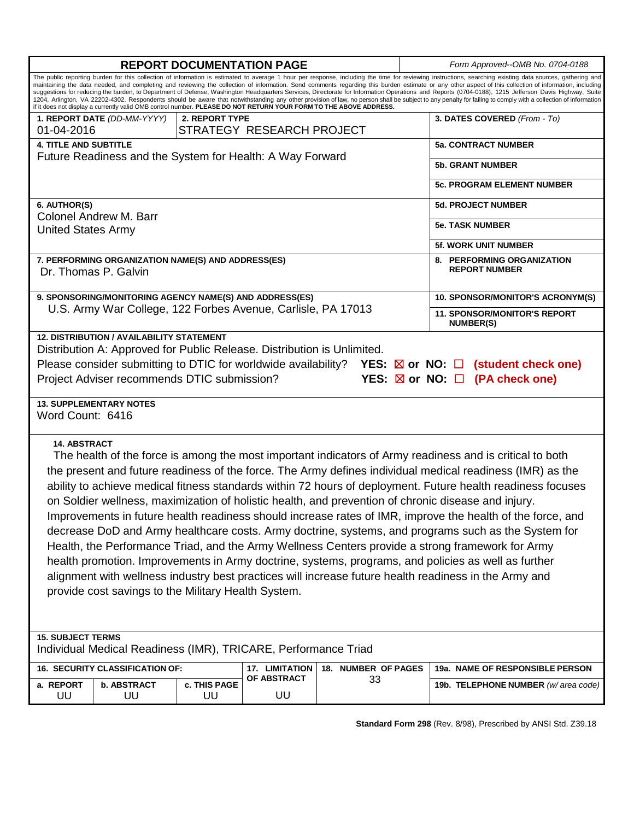| <b>REPORT DOCUMENTATION PAGE</b>                                                                                                                                                                                                                                                                                                                                                                                                                                                                                                                                                                                                                                                                                                                                                                                                                                                                                                                                                                                                              |                                                              | Form Approved--OMB No. 0704-0188 |                                                                                                                                                                                                                                                                                                                                                                                                                                                                                                                                                                                                                                                                                                                                                                                                                                              |  |  |
|-----------------------------------------------------------------------------------------------------------------------------------------------------------------------------------------------------------------------------------------------------------------------------------------------------------------------------------------------------------------------------------------------------------------------------------------------------------------------------------------------------------------------------------------------------------------------------------------------------------------------------------------------------------------------------------------------------------------------------------------------------------------------------------------------------------------------------------------------------------------------------------------------------------------------------------------------------------------------------------------------------------------------------------------------|--------------------------------------------------------------|----------------------------------|----------------------------------------------------------------------------------------------------------------------------------------------------------------------------------------------------------------------------------------------------------------------------------------------------------------------------------------------------------------------------------------------------------------------------------------------------------------------------------------------------------------------------------------------------------------------------------------------------------------------------------------------------------------------------------------------------------------------------------------------------------------------------------------------------------------------------------------------|--|--|
| if it does not display a currently valid OMB control number. PLEASE DO NOT RETURN YOUR FORM TO THE ABOVE ADDRESS.                                                                                                                                                                                                                                                                                                                                                                                                                                                                                                                                                                                                                                                                                                                                                                                                                                                                                                                             |                                                              |                                  | The public reporting burden for this collection of information is estimated to average 1 hour per response, including the time for reviewing instructions, searching existing data sources, gathering and<br>maintaining the data needed, and completing and reviewing the collection of information. Send comments regarding this burden estimate or any other aspect of this collection of information, including<br>suggestions for reducing the burden, to Department of Defense, Washington Headquarters Services, Directorate for Information Operations and Reports (0704-0188), 1215 Jefferson Davis Highway, Suite<br>1204, Arlington, VA 22202-4302. Respondents should be aware that notwithstanding any other provision of law, no person shall be subject to any penalty for failing to comply with a collection of information |  |  |
| 1. REPORT DATE (DD-MM-YYYY)                                                                                                                                                                                                                                                                                                                                                                                                                                                                                                                                                                                                                                                                                                                                                                                                                                                                                                                                                                                                                   | 2. REPORT TYPE                                               | 3. DATES COVERED (From - To)     |                                                                                                                                                                                                                                                                                                                                                                                                                                                                                                                                                                                                                                                                                                                                                                                                                                              |  |  |
| 01-04-2016                                                                                                                                                                                                                                                                                                                                                                                                                                                                                                                                                                                                                                                                                                                                                                                                                                                                                                                                                                                                                                    |                                                              | STRATEGY RESEARCH PROJECT        |                                                                                                                                                                                                                                                                                                                                                                                                                                                                                                                                                                                                                                                                                                                                                                                                                                              |  |  |
| <b>4. TITLE AND SUBTITLE</b>                                                                                                                                                                                                                                                                                                                                                                                                                                                                                                                                                                                                                                                                                                                                                                                                                                                                                                                                                                                                                  |                                                              |                                  | <b>5a. CONTRACT NUMBER</b>                                                                                                                                                                                                                                                                                                                                                                                                                                                                                                                                                                                                                                                                                                                                                                                                                   |  |  |
| Future Readiness and the System for Health: A Way Forward                                                                                                                                                                                                                                                                                                                                                                                                                                                                                                                                                                                                                                                                                                                                                                                                                                                                                                                                                                                     |                                                              |                                  | <b>5b. GRANT NUMBER</b>                                                                                                                                                                                                                                                                                                                                                                                                                                                                                                                                                                                                                                                                                                                                                                                                                      |  |  |
|                                                                                                                                                                                                                                                                                                                                                                                                                                                                                                                                                                                                                                                                                                                                                                                                                                                                                                                                                                                                                                               |                                                              |                                  | <b>5c. PROGRAM ELEMENT NUMBER</b>                                                                                                                                                                                                                                                                                                                                                                                                                                                                                                                                                                                                                                                                                                                                                                                                            |  |  |
| 6. AUTHOR(S)<br><b>Colonel Andrew M. Barr</b>                                                                                                                                                                                                                                                                                                                                                                                                                                                                                                                                                                                                                                                                                                                                                                                                                                                                                                                                                                                                 |                                                              |                                  | <b>5d. PROJECT NUMBER</b>                                                                                                                                                                                                                                                                                                                                                                                                                                                                                                                                                                                                                                                                                                                                                                                                                    |  |  |
| <b>United States Army</b>                                                                                                                                                                                                                                                                                                                                                                                                                                                                                                                                                                                                                                                                                                                                                                                                                                                                                                                                                                                                                     |                                                              |                                  | <b>5e. TASK NUMBER</b>                                                                                                                                                                                                                                                                                                                                                                                                                                                                                                                                                                                                                                                                                                                                                                                                                       |  |  |
|                                                                                                                                                                                                                                                                                                                                                                                                                                                                                                                                                                                                                                                                                                                                                                                                                                                                                                                                                                                                                                               |                                                              |                                  | <b>5f. WORK UNIT NUMBER</b>                                                                                                                                                                                                                                                                                                                                                                                                                                                                                                                                                                                                                                                                                                                                                                                                                  |  |  |
| 7. PERFORMING ORGANIZATION NAME(S) AND ADDRESS(ES)<br>Dr. Thomas P. Galvin                                                                                                                                                                                                                                                                                                                                                                                                                                                                                                                                                                                                                                                                                                                                                                                                                                                                                                                                                                    |                                                              |                                  | 8. PERFORMING ORGANIZATION<br><b>REPORT NUMBER</b>                                                                                                                                                                                                                                                                                                                                                                                                                                                                                                                                                                                                                                                                                                                                                                                           |  |  |
| 9. SPONSORING/MONITORING AGENCY NAME(S) AND ADDRESS(ES)                                                                                                                                                                                                                                                                                                                                                                                                                                                                                                                                                                                                                                                                                                                                                                                                                                                                                                                                                                                       |                                                              |                                  | 10. SPONSOR/MONITOR'S ACRONYM(S)                                                                                                                                                                                                                                                                                                                                                                                                                                                                                                                                                                                                                                                                                                                                                                                                             |  |  |
|                                                                                                                                                                                                                                                                                                                                                                                                                                                                                                                                                                                                                                                                                                                                                                                                                                                                                                                                                                                                                                               | U.S. Army War College, 122 Forbes Avenue, Carlisle, PA 17013 |                                  | <b>11. SPONSOR/MONITOR'S REPORT</b><br><b>NUMBER(S)</b>                                                                                                                                                                                                                                                                                                                                                                                                                                                                                                                                                                                                                                                                                                                                                                                      |  |  |
| Distribution A: Approved for Public Release. Distribution is Unlimited.<br>Please consider submitting to DTIC for worldwide availability? YES: $\boxtimes$ or NO: $\Box$ (student check one)<br>Project Adviser recommends DTIC submission?<br>YES: $\boxtimes$ or NO: $\Box$ (PA check one)<br><b>13. SUPPLEMENTARY NOTES</b><br>Word Count: 6416<br><b>14. ABSTRACT</b><br>The health of the force is among the most important indicators of Army readiness and is critical to both<br>the present and future readiness of the force. The Army defines individual medical readiness (IMR) as the<br>ability to achieve medical fitness standards within 72 hours of deployment. Future health readiness focuses<br>on Soldier wellness, maximization of holistic health, and prevention of chronic disease and injury.<br>Improvements in future health readiness should increase rates of IMR, improve the health of the force, and<br>decrease DoD and Army healthcare costs. Army doctrine, systems, and programs such as the System for |                                                              |                                  |                                                                                                                                                                                                                                                                                                                                                                                                                                                                                                                                                                                                                                                                                                                                                                                                                                              |  |  |
| Health, the Performance Triad, and the Army Wellness Centers provide a strong framework for Army<br>health promotion. Improvements in Army doctrine, systems, programs, and policies as well as further<br>alignment with wellness industry best practices will increase future health readiness in the Army and<br>provide cost savings to the Military Health System.<br><b>15. SUBJECT TERMS</b>                                                                                                                                                                                                                                                                                                                                                                                                                                                                                                                                                                                                                                           |                                                              |                                  |                                                                                                                                                                                                                                                                                                                                                                                                                                                                                                                                                                                                                                                                                                                                                                                                                                              |  |  |
| Individual Medical Readiness (IMR), TRICARE, Performance Triad                                                                                                                                                                                                                                                                                                                                                                                                                                                                                                                                                                                                                                                                                                                                                                                                                                                                                                                                                                                |                                                              |                                  |                                                                                                                                                                                                                                                                                                                                                                                                                                                                                                                                                                                                                                                                                                                                                                                                                                              |  |  |
| 16. SECURITY CLASSIFICATION OF:                                                                                                                                                                                                                                                                                                                                                                                                                                                                                                                                                                                                                                                                                                                                                                                                                                                                                                                                                                                                               | 17. LIMITATION<br>OF ABSTRACT                                | 18. NUMBER OF PAGES<br>33        | <b>19a. NAME OF RESPONSIBLE PERSON</b>                                                                                                                                                                                                                                                                                                                                                                                                                                                                                                                                                                                                                                                                                                                                                                                                       |  |  |
| a. REPORT<br><b>b. ABSTRACT</b><br>UU<br>UU                                                                                                                                                                                                                                                                                                                                                                                                                                                                                                                                                                                                                                                                                                                                                                                                                                                                                                                                                                                                   | c. THIS PAGE<br>UU<br>UU                                     |                                  | 19b. TELEPHONE NUMBER (w/area code)                                                                                                                                                                                                                                                                                                                                                                                                                                                                                                                                                                                                                                                                                                                                                                                                          |  |  |

**Standard Form 298** (Rev. 8/98), Prescribed by ANSI Std. Z39.18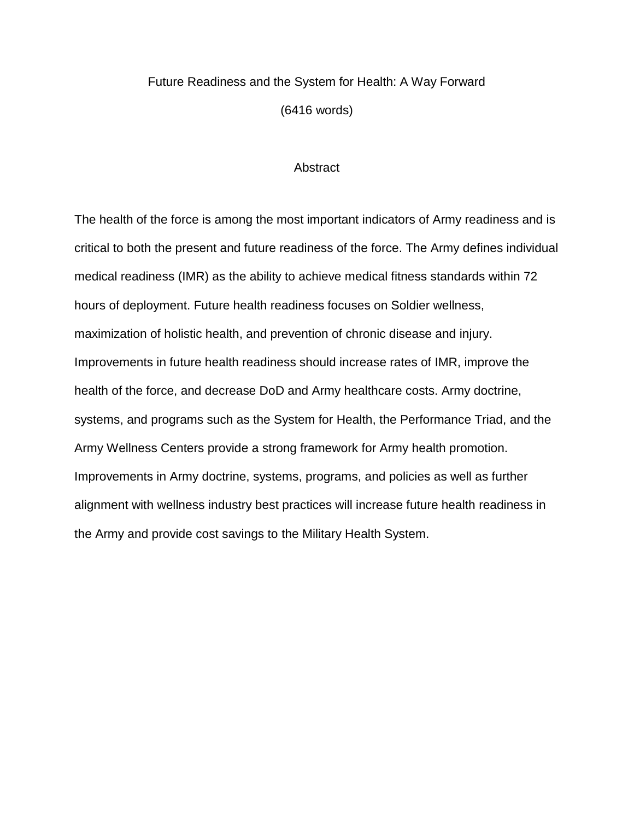## Future Readiness and the System for Health: A Way Forward (6416 words)

### **Abstract**

The health of the force is among the most important indicators of Army readiness and is critical to both the present and future readiness of the force. The Army defines individual medical readiness (IMR) as the ability to achieve medical fitness standards within 72 hours of deployment. Future health readiness focuses on Soldier wellness, maximization of holistic health, and prevention of chronic disease and injury. Improvements in future health readiness should increase rates of IMR, improve the health of the force, and decrease DoD and Army healthcare costs. Army doctrine, systems, and programs such as the System for Health, the Performance Triad, and the Army Wellness Centers provide a strong framework for Army health promotion. Improvements in Army doctrine, systems, programs, and policies as well as further alignment with wellness industry best practices will increase future health readiness in the Army and provide cost savings to the Military Health System.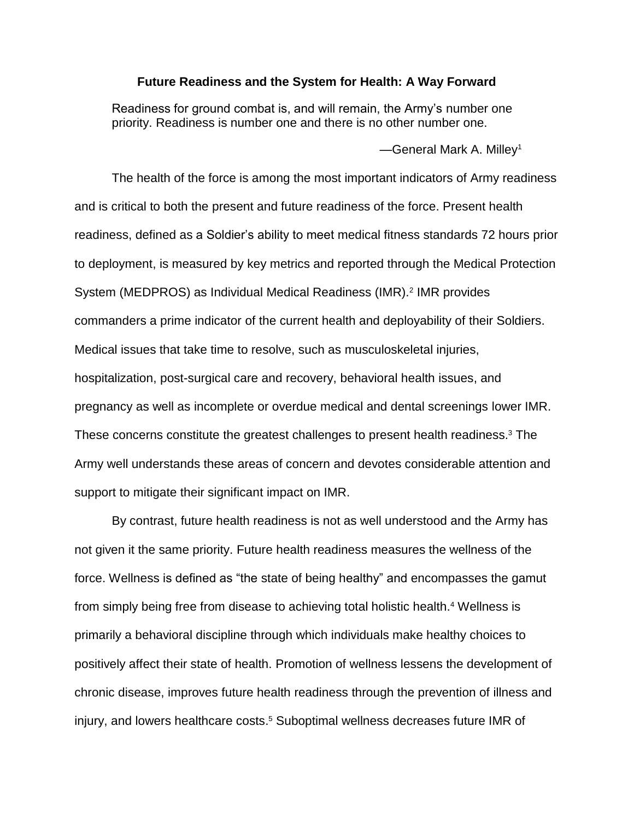### **Future Readiness and the System for Health: A Way Forward**

Readiness for ground combat is, and will remain, the Army's number one priority. Readiness is number one and there is no other number one.

—General Mark A. Milley<sup>1</sup>

The health of the force is among the most important indicators of Army readiness and is critical to both the present and future readiness of the force. Present health readiness, defined as a Soldier's ability to meet medical fitness standards 72 hours prior to deployment, is measured by key metrics and reported through the Medical Protection System (MEDPROS) as Individual Medical Readiness (IMR).<sup>2</sup> IMR provides commanders a prime indicator of the current health and deployability of their Soldiers. Medical issues that take time to resolve, such as musculoskeletal injuries, hospitalization, post-surgical care and recovery, behavioral health issues, and pregnancy as well as incomplete or overdue medical and dental screenings lower IMR. These concerns constitute the greatest challenges to present health readiness. <sup>3</sup> The Army well understands these areas of concern and devotes considerable attention and support to mitigate their significant impact on IMR.

By contrast, future health readiness is not as well understood and the Army has not given it the same priority. Future health readiness measures the wellness of the force. Wellness is defined as "the state of being healthy" and encompasses the gamut from simply being free from disease to achieving total holistic health.<sup>4</sup> Wellness is primarily a behavioral discipline through which individuals make healthy choices to positively affect their state of health. Promotion of wellness lessens the development of chronic disease, improves future health readiness through the prevention of illness and injury, and lowers healthcare costs. <sup>5</sup> Suboptimal wellness decreases future IMR of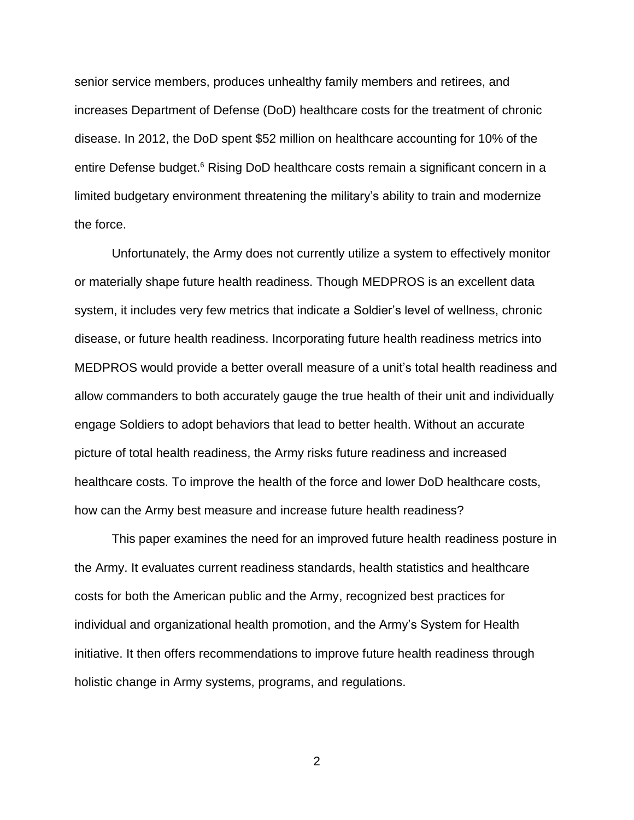senior service members, produces unhealthy family members and retirees, and increases Department of Defense (DoD) healthcare costs for the treatment of chronic disease. In 2012, the DoD spent \$52 million on healthcare accounting for 10% of the entire Defense budget.<sup>6</sup> Rising DoD healthcare costs remain a significant concern in a limited budgetary environment threatening the military's ability to train and modernize the force.

Unfortunately, the Army does not currently utilize a system to effectively monitor or materially shape future health readiness. Though MEDPROS is an excellent data system, it includes very few metrics that indicate a Soldier's level of wellness, chronic disease, or future health readiness. Incorporating future health readiness metrics into MEDPROS would provide a better overall measure of a unit's total health readiness and allow commanders to both accurately gauge the true health of their unit and individually engage Soldiers to adopt behaviors that lead to better health. Without an accurate picture of total health readiness, the Army risks future readiness and increased healthcare costs. To improve the health of the force and lower DoD healthcare costs, how can the Army best measure and increase future health readiness?

This paper examines the need for an improved future health readiness posture in the Army. It evaluates current readiness standards, health statistics and healthcare costs for both the American public and the Army, recognized best practices for individual and organizational health promotion, and the Army's System for Health initiative. It then offers recommendations to improve future health readiness through holistic change in Army systems, programs, and regulations.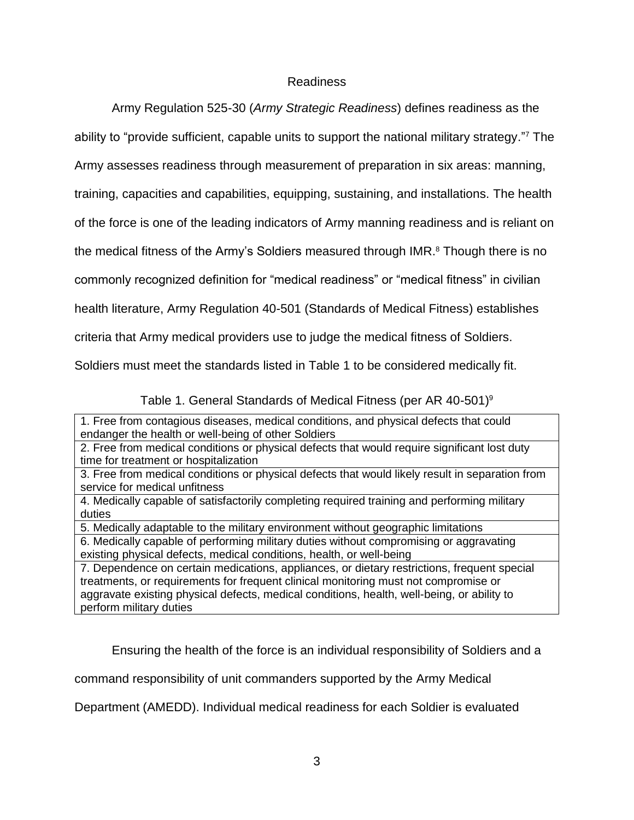### Readiness

Army Regulation 525-30 (*Army Strategic Readiness*) defines readiness as the ability to "provide sufficient, capable units to support the national military strategy." <sup>7</sup> The Army assesses readiness through measurement of preparation in six areas: manning, training, capacities and capabilities, equipping, sustaining, and installations. The health of the force is one of the leading indicators of Army manning readiness and is reliant on the medical fitness of the Army's Soldiers measured through IMR. <sup>8</sup> Though there is no commonly recognized definition for "medical readiness" or "medical fitness" in civilian health literature, Army Regulation 40-501 (Standards of Medical Fitness) establishes criteria that Army medical providers use to judge the medical fitness of Soldiers. Soldiers must meet the standards listed in Table 1 to be considered medically fit.

Table 1. General Standards of Medical Fitness (per AR 40-501)<sup>9</sup>

1. Free from contagious diseases, medical conditions, and physical defects that could endanger the health or well-being of other Soldiers

2. Free from medical conditions or physical defects that would require significant lost duty time for treatment or hospitalization

3. Free from medical conditions or physical defects that would likely result in separation from service for medical unfitness

4. Medically capable of satisfactorily completing required training and performing military duties

5. Medically adaptable to the military environment without geographic limitations

6. Medically capable of performing military duties without compromising or aggravating existing physical defects, medical conditions, health, or well-being

7. Dependence on certain medications, appliances, or dietary restrictions, frequent special treatments, or requirements for frequent clinical monitoring must not compromise or aggravate existing physical defects, medical conditions, health, well-being, or ability to perform military duties

Ensuring the health of the force is an individual responsibility of Soldiers and a

command responsibility of unit commanders supported by the Army Medical

Department (AMEDD). Individual medical readiness for each Soldier is evaluated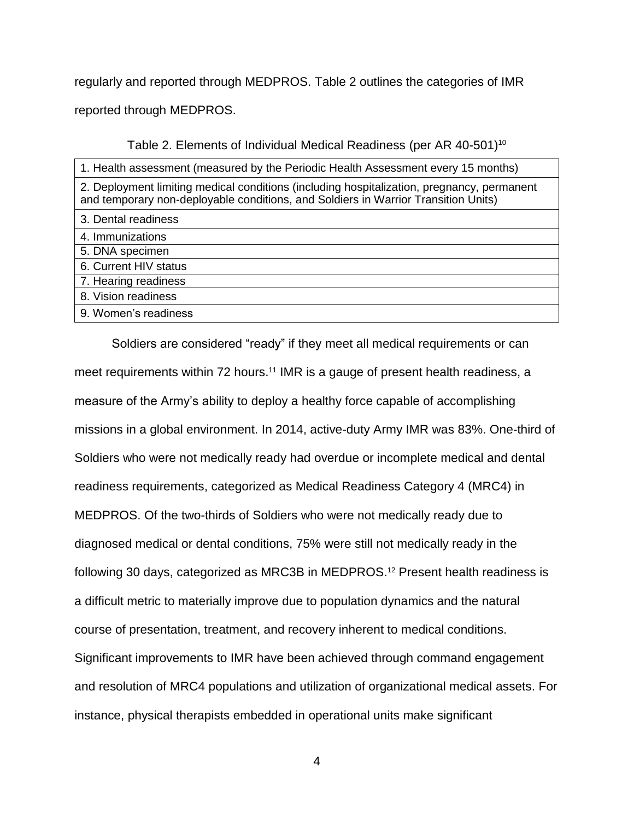regularly and reported through MEDPROS. Table 2 outlines the categories of IMR reported through MEDPROS.

Table 2. Elements of Individual Medical Readiness (per AR 40-501)<sup>10</sup>

| 1. Health assessment (measured by the Periodic Health Assessment every 15 months)                                                                                                |
|----------------------------------------------------------------------------------------------------------------------------------------------------------------------------------|
| 2. Deployment limiting medical conditions (including hospitalization, pregnancy, permanent<br>and temporary non-deployable conditions, and Soldiers in Warrior Transition Units) |
| 3. Dental readiness                                                                                                                                                              |
| 4. Immunizations                                                                                                                                                                 |
| 5. DNA specimen                                                                                                                                                                  |
| 6. Current HIV status                                                                                                                                                            |
| 7. Hearing readiness                                                                                                                                                             |
| 8. Vision readiness                                                                                                                                                              |
| 9. Women's readiness                                                                                                                                                             |

Soldiers are considered "ready" if they meet all medical requirements or can meet requirements within 72 hours.<sup>11</sup> IMR is a gauge of present health readiness, a measure of the Army's ability to deploy a healthy force capable of accomplishing missions in a global environment. In 2014, active-duty Army IMR was 83%. One-third of Soldiers who were not medically ready had overdue or incomplete medical and dental readiness requirements, categorized as Medical Readiness Category 4 (MRC4) in MEDPROS. Of the two-thirds of Soldiers who were not medically ready due to diagnosed medical or dental conditions, 75% were still not medically ready in the following 30 days, categorized as MRC3B in MEDPROS. <sup>12</sup> Present health readiness is a difficult metric to materially improve due to population dynamics and the natural course of presentation, treatment, and recovery inherent to medical conditions. Significant improvements to IMR have been achieved through command engagement and resolution of MRC4 populations and utilization of organizational medical assets. For instance, physical therapists embedded in operational units make significant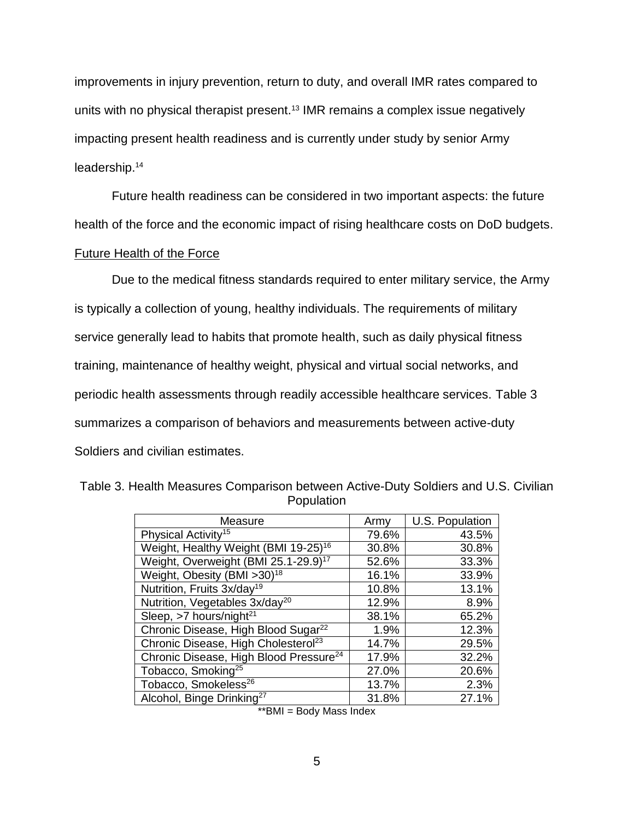improvements in injury prevention, return to duty, and overall IMR rates compared to units with no physical therapist present.<sup>13</sup> IMR remains a complex issue negatively impacting present health readiness and is currently under study by senior Army leadership.<sup>14</sup>

Future health readiness can be considered in two important aspects: the future health of the force and the economic impact of rising healthcare costs on DoD budgets.

### Future Health of the Force

Due to the medical fitness standards required to enter military service, the Army is typically a collection of young, healthy individuals. The requirements of military service generally lead to habits that promote health, such as daily physical fitness training, maintenance of healthy weight, physical and virtual social networks, and periodic health assessments through readily accessible healthcare services. Table 3 summarizes a comparison of behaviors and measurements between active-duty Soldiers and civilian estimates.

| Measure                                            | Army  | U.S. Population |
|----------------------------------------------------|-------|-----------------|
| Physical Activity <sup>15</sup>                    | 79.6% | 43.5%           |
| Weight, Healthy Weight (BMI 19-25) <sup>16</sup>   | 30.8% | 30.8%           |
| Weight, Overweight (BMI 25.1-29.9) <sup>17</sup>   | 52.6% | 33.3%           |
| Weight, Obesity (BMI > 30) <sup>18</sup>           | 16.1% | 33.9%           |
| Nutrition, Fruits 3x/day <sup>19</sup>             | 10.8% | 13.1%           |
| Nutrition, Vegetables 3x/day <sup>20</sup>         | 12.9% | 8.9%            |
| Sleep, $>7$ hours/night <sup>21</sup>              | 38.1% | 65.2%           |
| Chronic Disease, High Blood Sugar <sup>22</sup>    | 1.9%  | 12.3%           |
| Chronic Disease, High Cholesterol <sup>23</sup>    | 14.7% | 29.5%           |
| Chronic Disease, High Blood Pressure <sup>24</sup> | 17.9% | 32.2%           |
| Tobacco, Smoking <sup>25</sup>                     | 27.0% | 20.6%           |
| Tobacco, Smokeless <sup>26</sup>                   | 13.7% | 2.3%            |
| Alcohol, Binge Drinking <sup>27</sup>              | 31.8% | 27.1%           |

Table 3. Health Measures Comparison between Active-Duty Soldiers and U.S. Civilian Population

<sup>\*\*</sup>BMI = Body Mass Index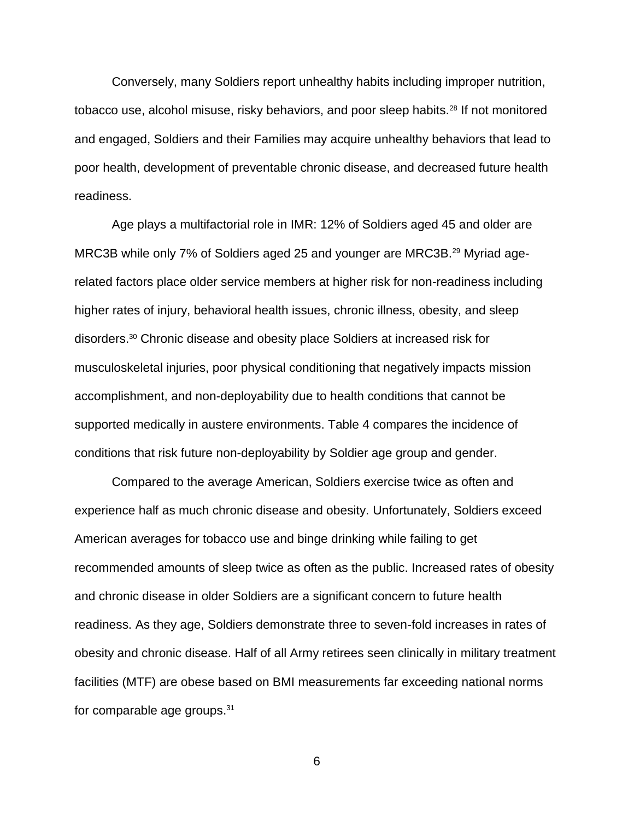Conversely, many Soldiers report unhealthy habits including improper nutrition, tobacco use, alcohol misuse, risky behaviors, and poor sleep habits.<sup>28</sup> If not monitored and engaged, Soldiers and their Families may acquire unhealthy behaviors that lead to poor health, development of preventable chronic disease, and decreased future health readiness.

Age plays a multifactorial role in IMR: 12% of Soldiers aged 45 and older are MRC3B while only 7% of Soldiers aged 25 and younger are MRC3B.<sup>29</sup> Myriad agerelated factors place older service members at higher risk for non-readiness including higher rates of injury, behavioral health issues, chronic illness, obesity, and sleep disorders. <sup>30</sup> Chronic disease and obesity place Soldiers at increased risk for musculoskeletal injuries, poor physical conditioning that negatively impacts mission accomplishment, and non-deployability due to health conditions that cannot be supported medically in austere environments. Table 4 compares the incidence of conditions that risk future non-deployability by Soldier age group and gender.

Compared to the average American, Soldiers exercise twice as often and experience half as much chronic disease and obesity. Unfortunately, Soldiers exceed American averages for tobacco use and binge drinking while failing to get recommended amounts of sleep twice as often as the public. Increased rates of obesity and chronic disease in older Soldiers are a significant concern to future health readiness. As they age, Soldiers demonstrate three to seven-fold increases in rates of obesity and chronic disease. Half of all Army retirees seen clinically in military treatment facilities (MTF) are obese based on BMI measurements far exceeding national norms for comparable age groups.31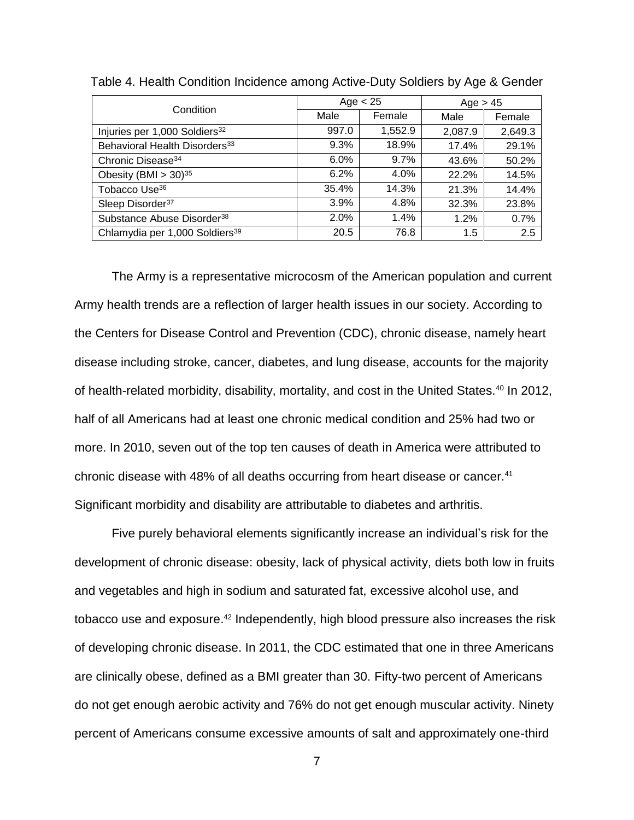| Condition                                  |         | Age $< 25$ | Age > 45 |         |
|--------------------------------------------|---------|------------|----------|---------|
|                                            | Male    | Female     | Male     | Female  |
| Injuries per 1,000 Soldiers <sup>32</sup>  | 997.0   | 1,552.9    | 2,087.9  | 2,649.3 |
| Behavioral Health Disorders <sup>33</sup>  | 9.3%    | 18.9%      | 17.4%    | 29.1%   |
| Chronic Disease <sup>34</sup>              | $6.0\%$ | $9.7\%$    | 43.6%    | 50.2%   |
| Obesity (BMI $> 30$ ) <sup>35</sup>        | 6.2%    | 4.0%       | 22.2%    | 14.5%   |
| Tobacco Use <sup>36</sup>                  | 35.4%   | 14.3%      | 21.3%    | 14.4%   |
| Sleep Disorder <sup>37</sup>               | $3.9\%$ | 4.8%       | 32.3%    | 23.8%   |
| Substance Abuse Disorder <sup>38</sup>     | 2.0%    | 1.4%       | 1.2%     | 0.7%    |
| Chlamydia per 1,000 Soldiers <sup>39</sup> | 20.5    | 76.8       | 1.5      | 2.5     |

Table 4. Health Condition Incidence among Active-Duty Soldiers by Age & Gender

The Army is a representative microcosm of the American population and current Army health trends are a reflection of larger health issues in our society. According to the Centers for Disease Control and Prevention (CDC), chronic disease, namely heart disease including stroke, cancer, diabetes, and lung disease, accounts for the majority of health-related morbidity, disability, mortality, and cost in the United States.<sup>40</sup> In 2012, half of all Americans had at least one chronic medical condition and 25% had two or more. In 2010, seven out of the top ten causes of death in America were attributed to chronic disease with 48% of all deaths occurring from heart disease or cancer.<sup>41</sup> Significant morbidity and disability are attributable to diabetes and arthritis.

Five purely behavioral elements significantly increase an individual's risk for the development of chronic disease: obesity, lack of physical activity, diets both low in fruits and vegetables and high in sodium and saturated fat, excessive alcohol use, and tobacco use and exposure.<sup>42</sup> Independently, high blood pressure also increases the risk of developing chronic disease. In 2011, the CDC estimated that one in three Americans are clinically obese, defined as a BMI greater than 30. Fifty-two percent of Americans do not get enough aerobic activity and 76% do not get enough muscular activity. Ninety percent of Americans consume excessive amounts of salt and approximately one-third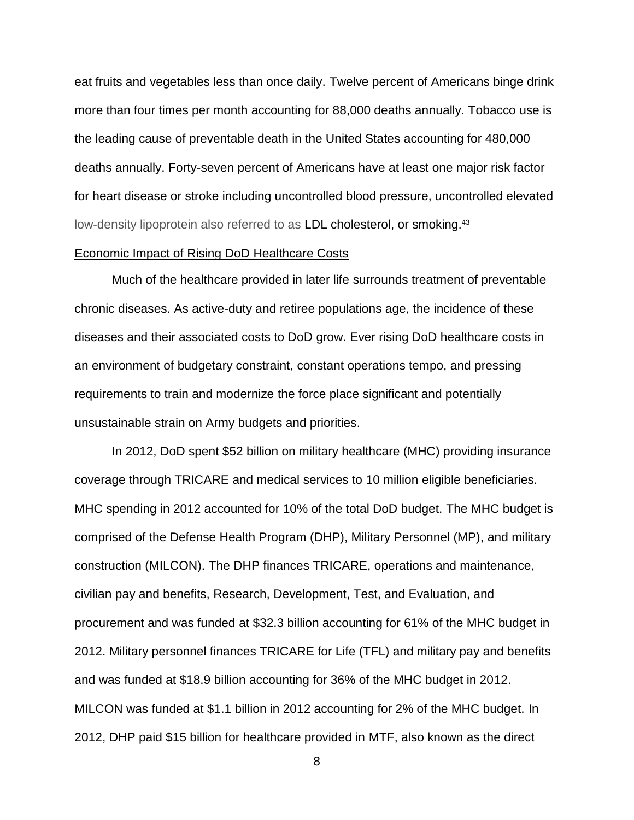eat fruits and vegetables less than once daily. Twelve percent of Americans binge drink more than four times per month accounting for 88,000 deaths annually. Tobacco use is the leading cause of preventable death in the United States accounting for 480,000 deaths annually. Forty-seven percent of Americans have at least one major risk factor for heart disease or stroke including uncontrolled blood pressure, uncontrolled elevated low-density lipoprotein also referred to as LDL cholesterol, or smoking.<sup>43</sup>

### Economic Impact of Rising DoD Healthcare Costs

Much of the healthcare provided in later life surrounds treatment of preventable chronic diseases. As active-duty and retiree populations age, the incidence of these diseases and their associated costs to DoD grow. Ever rising DoD healthcare costs in an environment of budgetary constraint, constant operations tempo, and pressing requirements to train and modernize the force place significant and potentially unsustainable strain on Army budgets and priorities.

In 2012, DoD spent \$52 billion on military healthcare (MHC) providing insurance coverage through TRICARE and medical services to 10 million eligible beneficiaries. MHC spending in 2012 accounted for 10% of the total DoD budget. The MHC budget is comprised of the Defense Health Program (DHP), Military Personnel (MP), and military construction (MILCON). The DHP finances TRICARE, operations and maintenance, civilian pay and benefits, Research, Development, Test, and Evaluation, and procurement and was funded at \$32.3 billion accounting for 61% of the MHC budget in 2012. Military personnel finances TRICARE for Life (TFL) and military pay and benefits and was funded at \$18.9 billion accounting for 36% of the MHC budget in 2012. MILCON was funded at \$1.1 billion in 2012 accounting for 2% of the MHC budget. In 2012, DHP paid \$15 billion for healthcare provided in MTF, also known as the direct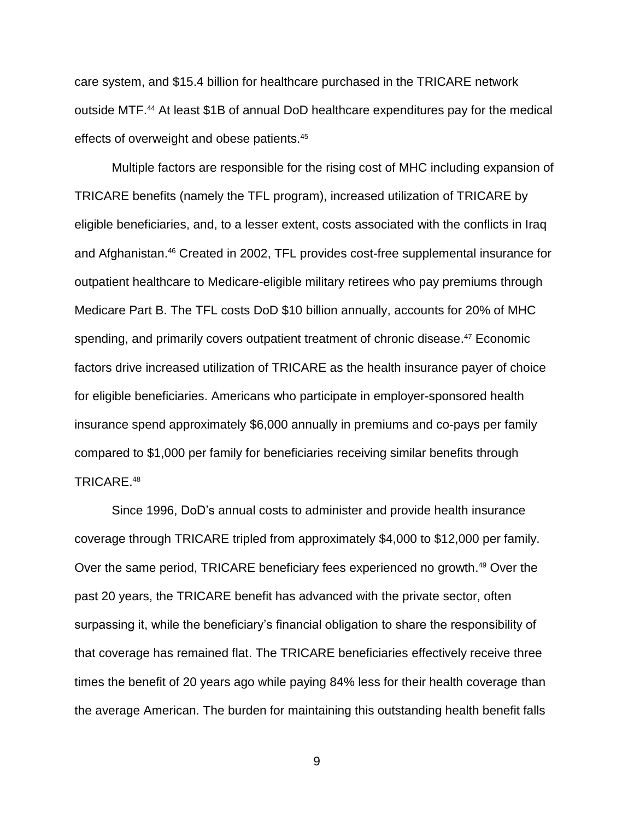care system, and \$15.4 billion for healthcare purchased in the TRICARE network outside MTF.<sup>44</sup> At least \$1B of annual DoD healthcare expenditures pay for the medical effects of overweight and obese patients.<sup>45</sup>

Multiple factors are responsible for the rising cost of MHC including expansion of TRICARE benefits (namely the TFL program), increased utilization of TRICARE by eligible beneficiaries, and, to a lesser extent, costs associated with the conflicts in Iraq and Afghanistan. <sup>46</sup> Created in 2002, TFL provides cost-free supplemental insurance for outpatient healthcare to Medicare-eligible military retirees who pay premiums through Medicare Part B. The TFL costs DoD \$10 billion annually, accounts for 20% of MHC spending, and primarily covers outpatient treatment of chronic disease. <sup>47</sup> Economic factors drive increased utilization of TRICARE as the health insurance payer of choice for eligible beneficiaries. Americans who participate in employer-sponsored health insurance spend approximately \$6,000 annually in premiums and co-pays per family compared to \$1,000 per family for beneficiaries receiving similar benefits through TRICARE.<sup>48</sup>

Since 1996, DoD's annual costs to administer and provide health insurance coverage through TRICARE tripled from approximately \$4,000 to \$12,000 per family. Over the same period, TRICARE beneficiary fees experienced no growth.<sup>49</sup> Over the past 20 years, the TRICARE benefit has advanced with the private sector, often surpassing it, while the beneficiary's financial obligation to share the responsibility of that coverage has remained flat. The TRICARE beneficiaries effectively receive three times the benefit of 20 years ago while paying 84% less for their health coverage than the average American. The burden for maintaining this outstanding health benefit falls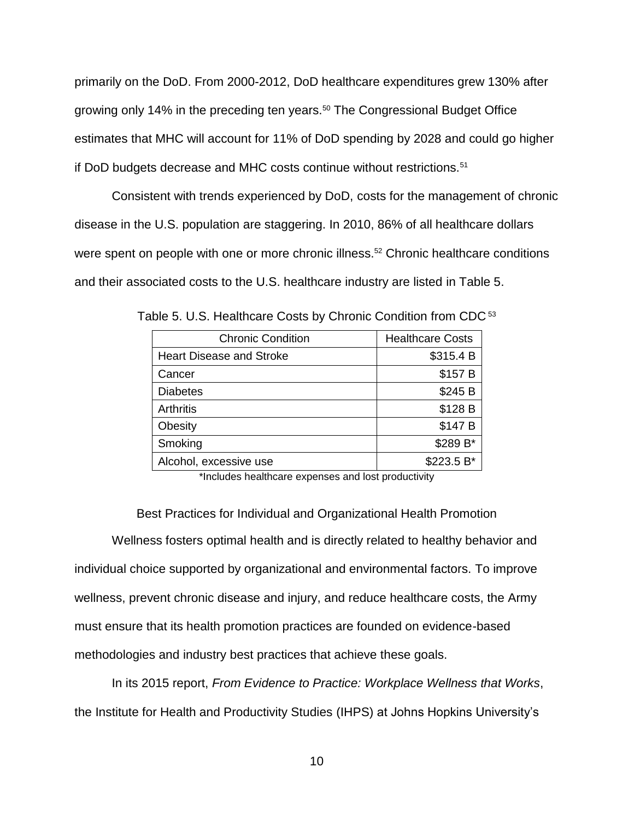primarily on the DoD. From 2000-2012, DoD healthcare expenditures grew 130% after growing only 14% in the preceding ten years.<sup>50</sup> The Congressional Budget Office estimates that MHC will account for 11% of DoD spending by 2028 and could go higher if DoD budgets decrease and MHC costs continue without restrictions.<sup>51</sup>

Consistent with trends experienced by DoD, costs for the management of chronic disease in the U.S. population are staggering. In 2010, 86% of all healthcare dollars were spent on people with one or more chronic illness.<sup>52</sup> Chronic healthcare conditions and their associated costs to the U.S. healthcare industry are listed in Table 5.

| <b>Chronic Condition</b>        | <b>Healthcare Costs</b> |  |
|---------------------------------|-------------------------|--|
| <b>Heart Disease and Stroke</b> | \$315.4 B               |  |
| Cancer                          | \$157 B                 |  |
| <b>Diabetes</b>                 | \$245 B                 |  |
| <b>Arthritis</b>                | \$128 B                 |  |
| Obesity                         | \$147 B                 |  |
| Smoking                         | \$289 B*                |  |
| Alcohol, excessive use          | \$223.5 B*              |  |

Table 5. U.S. Healthcare Costs by Chronic Condition from CDC <sup>53</sup>

\*Includes healthcare expenses and lost productivity

Best Practices for Individual and Organizational Health Promotion Wellness fosters optimal health and is directly related to healthy behavior and individual choice supported by organizational and environmental factors. To improve wellness, prevent chronic disease and injury, and reduce healthcare costs, the Army must ensure that its health promotion practices are founded on evidence-based methodologies and industry best practices that achieve these goals.

In its 2015 report, *From Evidence to Practice: Workplace Wellness that Works*, the Institute for Health and Productivity Studies (IHPS) at Johns Hopkins University's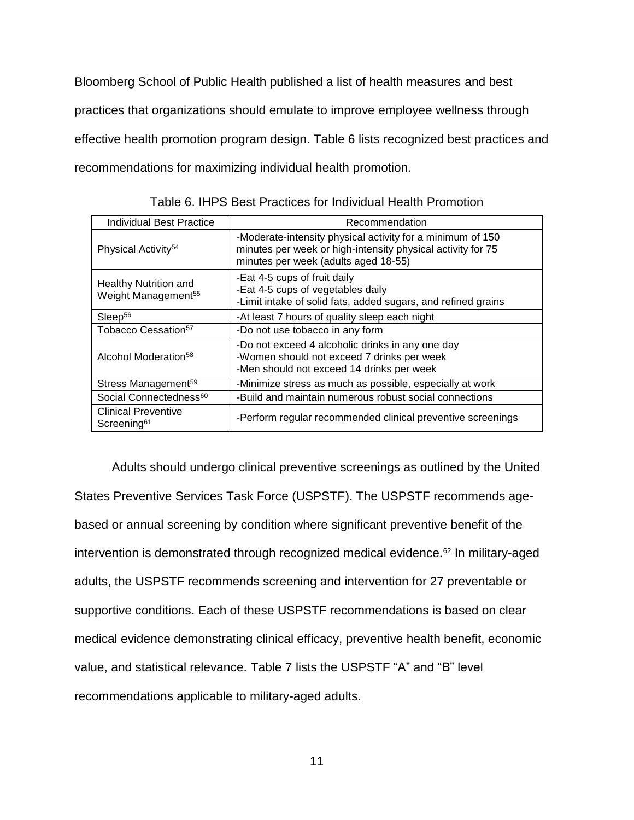Bloomberg School of Public Health published a list of health measures and best practices that organizations should emulate to improve employee wellness through effective health promotion program design. Table 6 lists recognized best practices and recommendations for maximizing individual health promotion.

| <b>Individual Best Practice</b>                                 | Recommendation                                                                                                                                                    |
|-----------------------------------------------------------------|-------------------------------------------------------------------------------------------------------------------------------------------------------------------|
| Physical Activity <sup>54</sup>                                 | -Moderate-intensity physical activity for a minimum of 150<br>minutes per week or high-intensity physical activity for 75<br>minutes per week (adults aged 18-55) |
| <b>Healthy Nutrition and</b><br>Weight Management <sup>55</sup> | -Eat 4-5 cups of fruit daily<br>-Eat 4-5 cups of vegetables daily<br>-Limit intake of solid fats, added sugars, and refined grains                                |
| Sleep <sup>56</sup>                                             | -At least 7 hours of quality sleep each night                                                                                                                     |
| Tobacco Cessation <sup>57</sup>                                 | -Do not use tobacco in any form                                                                                                                                   |
| Alcohol Moderation <sup>58</sup>                                | -Do not exceed 4 alcoholic drinks in any one day<br>-Women should not exceed 7 drinks per week<br>-Men should not exceed 14 drinks per week                       |
| Stress Management <sup>59</sup>                                 | -Minimize stress as much as possible, especially at work                                                                                                          |
| Social Connectedness <sup>60</sup>                              | -Build and maintain numerous robust social connections                                                                                                            |
| <b>Clinical Preventive</b><br>Screening <sup>61</sup>           | -Perform regular recommended clinical preventive screenings                                                                                                       |

Table 6. IHPS Best Practices for Individual Health Promotion

Adults should undergo clinical preventive screenings as outlined by the United States Preventive Services Task Force (USPSTF). The USPSTF recommends agebased or annual screening by condition where significant preventive benefit of the intervention is demonstrated through recognized medical evidence.<sup>62</sup> In military-aged adults, the USPSTF recommends screening and intervention for 27 preventable or supportive conditions. Each of these USPSTF recommendations is based on clear medical evidence demonstrating clinical efficacy, preventive health benefit, economic value, and statistical relevance. Table 7 lists the USPSTF "A" and "B" level recommendations applicable to military-aged adults.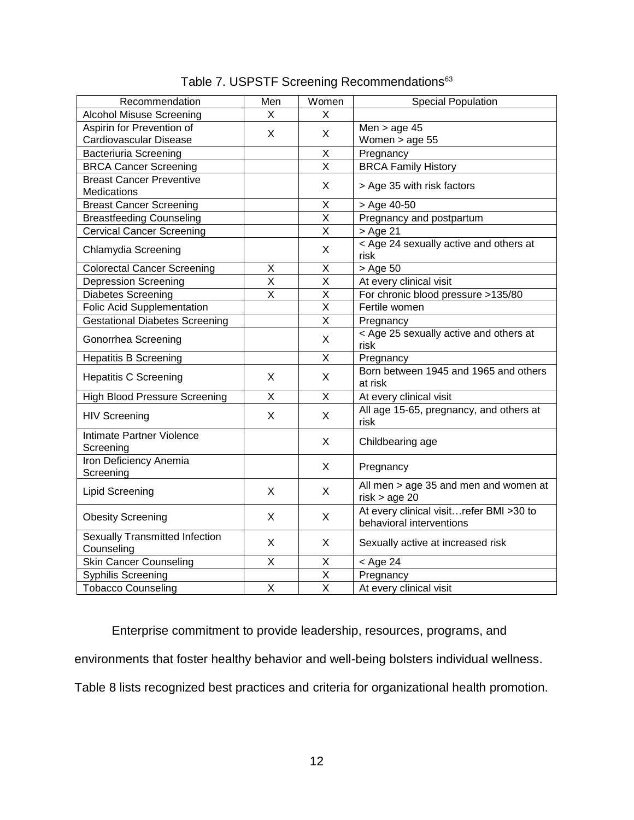| Recommendation                                 | Men                     | Women                   | <b>Special Population</b>                                           |
|------------------------------------------------|-------------------------|-------------------------|---------------------------------------------------------------------|
| <b>Alcohol Misuse Screening</b>                | X                       | X                       |                                                                     |
| Aspirin for Prevention of                      |                         |                         | Men $>$ age 45                                                      |
| X<br>Cardiovascular Disease                    |                         | X                       | Women > age 55                                                      |
| <b>Bacteriuria Screening</b>                   |                         | X                       | Pregnancy                                                           |
| <b>BRCA Cancer Screening</b>                   |                         | $\overline{\mathsf{x}}$ | <b>BRCA Family History</b>                                          |
| <b>Breast Cancer Preventive</b><br>Medications |                         | X                       | > Age 35 with risk factors                                          |
| <b>Breast Cancer Screening</b>                 |                         | X                       | > Age 40-50                                                         |
| <b>Breastfeeding Counseling</b>                |                         | $\overline{\mathsf{x}}$ | Pregnancy and postpartum                                            |
| <b>Cervical Cancer Screening</b>               |                         | X                       | > Age 21                                                            |
| Chlamydia Screening                            |                         | X                       | < Age 24 sexually active and others at<br>risk                      |
| <b>Colorectal Cancer Screening</b>             | X                       | X                       | > Age 50                                                            |
| <b>Depression Screening</b>                    | X                       | $\sf X$                 | At every clinical visit                                             |
| <b>Diabetes Screening</b>                      | $\overline{\mathsf{x}}$ | $\overline{\mathsf{x}}$ | For chronic blood pressure >135/80                                  |
| <b>Folic Acid Supplementation</b>              |                         | $\mathsf X$             | Fertile women                                                       |
| <b>Gestational Diabetes Screening</b>          |                         | $\overline{\mathsf{X}}$ | Pregnancy                                                           |
| Gonorrhea Screening                            |                         | X                       | < Age 25 sexually active and others at<br>risk                      |
| <b>Hepatitis B Screening</b>                   |                         | X                       | Pregnancy                                                           |
| <b>Hepatitis C Screening</b>                   | X                       | X                       | Born between 1945 and 1965 and others<br>at risk                    |
| <b>High Blood Pressure Screening</b>           | X                       | X                       | At every clinical visit                                             |
| <b>HIV Screening</b>                           | X                       | X                       | All age 15-65, pregnancy, and others at<br>risk                     |
| Intimate Partner Violence<br>Screening         |                         | X                       | Childbearing age                                                    |
| Iron Deficiency Anemia<br>Screening            |                         | X                       | Pregnancy                                                           |
| <b>Lipid Screening</b>                         | X                       | X                       | All men > age 35 and men and women at<br>risk > age 20              |
| <b>Obesity Screening</b>                       | X                       | X                       | At every clinical visitrefer BMI >30 to<br>behavioral interventions |
| Sexually Transmitted Infection<br>Counseling   | X                       | X                       | Sexually active at increased risk                                   |
| <b>Skin Cancer Counseling</b>                  | X                       | X                       | $<$ Age 24                                                          |
| Syphilis Screening                             |                         | $\overline{\mathsf{x}}$ | Pregnancy                                                           |
| <b>Tobacco Counseling</b>                      | X                       | X                       | At every clinical visit                                             |

Table 7. USPSTF Screening Recommendations<sup>63</sup>

Enterprise commitment to provide leadership, resources, programs, and

environments that foster healthy behavior and well-being bolsters individual wellness.

Table 8 lists recognized best practices and criteria for organizational health promotion.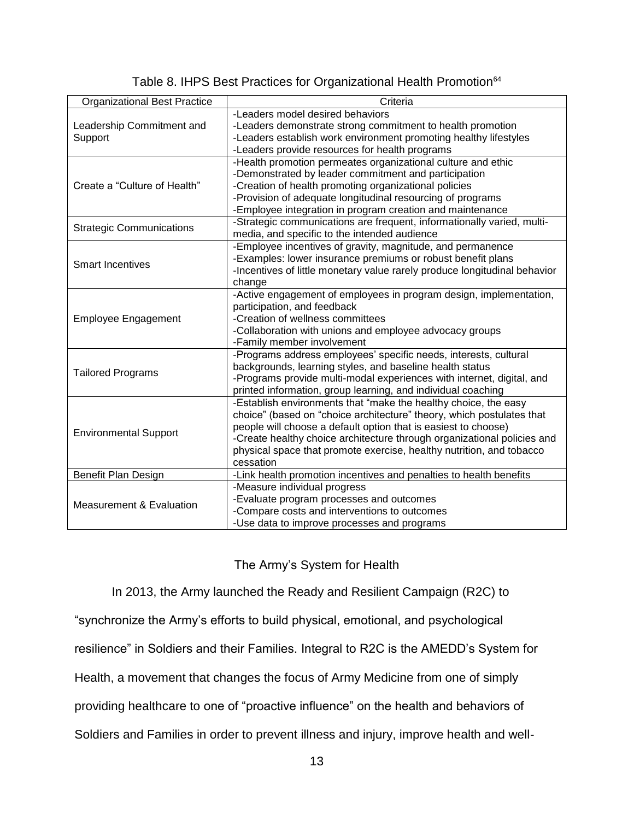| <b>Organizational Best Practice</b> | Criteria                                                                  |  |  |  |
|-------------------------------------|---------------------------------------------------------------------------|--|--|--|
|                                     | -Leaders model desired behaviors                                          |  |  |  |
| Leadership Commitment and           | -Leaders demonstrate strong commitment to health promotion                |  |  |  |
| Support                             | -Leaders establish work environment promoting healthy lifestyles          |  |  |  |
|                                     | -Leaders provide resources for health programs                            |  |  |  |
|                                     | -Health promotion permeates organizational culture and ethic              |  |  |  |
|                                     | -Demonstrated by leader commitment and participation                      |  |  |  |
| Create a "Culture of Health"        | -Creation of health promoting organizational policies                     |  |  |  |
|                                     | -Provision of adequate longitudinal resourcing of programs                |  |  |  |
|                                     | -Employee integration in program creation and maintenance                 |  |  |  |
|                                     | -Strategic communications are frequent, informationally varied, multi-    |  |  |  |
| <b>Strategic Communications</b>     | media, and specific to the intended audience                              |  |  |  |
|                                     | -Employee incentives of gravity, magnitude, and permanence                |  |  |  |
| <b>Smart Incentives</b>             | -Examples: lower insurance premiums or robust benefit plans               |  |  |  |
|                                     | -Incentives of little monetary value rarely produce longitudinal behavior |  |  |  |
|                                     | change                                                                    |  |  |  |
|                                     | -Active engagement of employees in program design, implementation,        |  |  |  |
|                                     | participation, and feedback                                               |  |  |  |
| Employee Engagement                 | -Creation of wellness committees                                          |  |  |  |
|                                     | -Collaboration with unions and employee advocacy groups                   |  |  |  |
|                                     | -Family member involvement                                                |  |  |  |
|                                     | -Programs address employees' specific needs, interests, cultural          |  |  |  |
|                                     | backgrounds, learning styles, and baseline health status                  |  |  |  |
| <b>Tailored Programs</b>            | -Programs provide multi-modal experiences with internet, digital, and     |  |  |  |
|                                     | printed information, group learning, and individual coaching              |  |  |  |
|                                     | -Establish environments that "make the healthy choice, the easy           |  |  |  |
|                                     | choice" (based on "choice architecture" theory, which postulates that     |  |  |  |
|                                     | people will choose a default option that is easiest to choose)            |  |  |  |
| <b>Environmental Support</b>        | -Create healthy choice architecture through organizational policies and   |  |  |  |
|                                     | physical space that promote exercise, healthy nutrition, and tobacco      |  |  |  |
|                                     | cessation                                                                 |  |  |  |
| Benefit Plan Design                 | -Link health promotion incentives and penalties to health benefits        |  |  |  |
|                                     | -Measure individual progress                                              |  |  |  |
|                                     | -Evaluate program processes and outcomes                                  |  |  |  |
| <b>Measurement &amp; Evaluation</b> | -Compare costs and interventions to outcomes                              |  |  |  |
|                                     | -Use data to improve processes and programs                               |  |  |  |
|                                     |                                                                           |  |  |  |

### Table 8. IHPS Best Practices for Organizational Health Promotion<sup>64</sup>

### The Army's System for Health

In 2013, the Army launched the Ready and Resilient Campaign (R2C) to

"synchronize the Army's efforts to build physical, emotional, and psychological

resilience" in Soldiers and their Families. Integral to R2C is the AMEDD's System for

Health, a movement that changes the focus of Army Medicine from one of simply

providing healthcare to one of "proactive influence" on the health and behaviors of

Soldiers and Families in order to prevent illness and injury, improve health and well-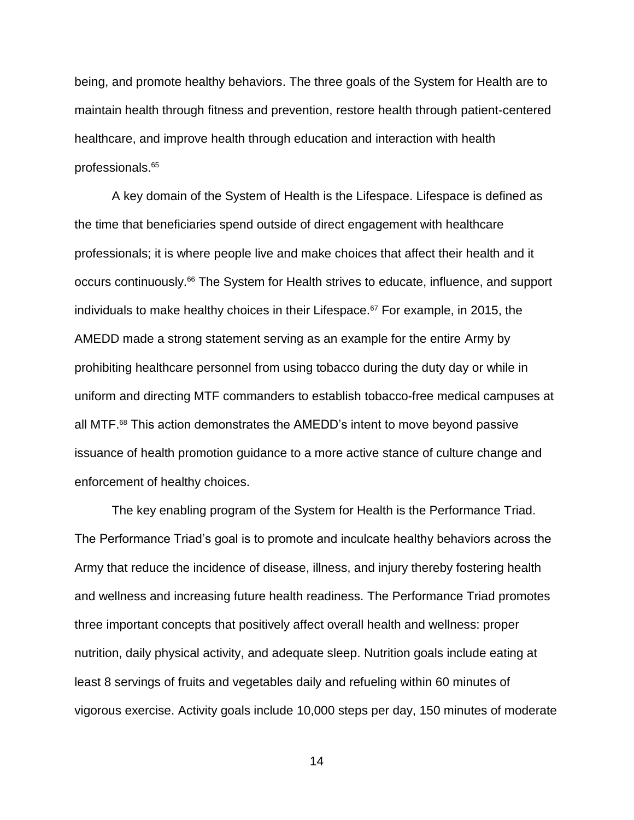being, and promote healthy behaviors. The three goals of the System for Health are to maintain health through fitness and prevention, restore health through patient-centered healthcare, and improve health through education and interaction with health professionals.<sup>65</sup>

A key domain of the System of Health is the Lifespace. Lifespace is defined as the time that beneficiaries spend outside of direct engagement with healthcare professionals; it is where people live and make choices that affect their health and it occurs continuously. <sup>66</sup> The System for Health strives to educate, influence, and support individuals to make healthy choices in their Lifespace.<sup>67</sup> For example, in 2015, the AMEDD made a strong statement serving as an example for the entire Army by prohibiting healthcare personnel from using tobacco during the duty day or while in uniform and directing MTF commanders to establish tobacco-free medical campuses at all MTF.<sup>68</sup> This action demonstrates the AMEDD's intent to move beyond passive issuance of health promotion guidance to a more active stance of culture change and enforcement of healthy choices.

The key enabling program of the System for Health is the Performance Triad. The Performance Triad's goal is to promote and inculcate healthy behaviors across the Army that reduce the incidence of disease, illness, and injury thereby fostering health and wellness and increasing future health readiness. The Performance Triad promotes three important concepts that positively affect overall health and wellness: proper nutrition, daily physical activity, and adequate sleep. Nutrition goals include eating at least 8 servings of fruits and vegetables daily and refueling within 60 minutes of vigorous exercise. Activity goals include 10,000 steps per day, 150 minutes of moderate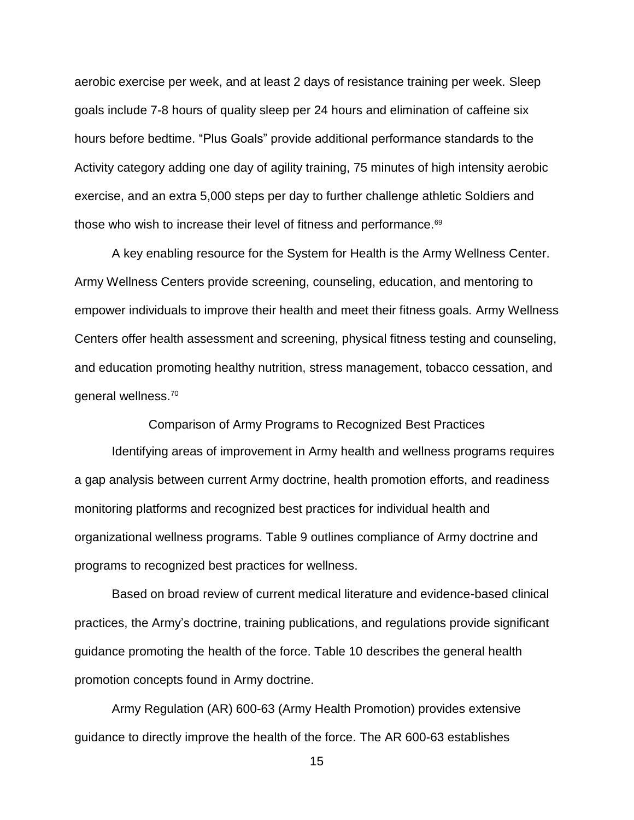aerobic exercise per week, and at least 2 days of resistance training per week. Sleep goals include 7-8 hours of quality sleep per 24 hours and elimination of caffeine six hours before bedtime. "Plus Goals" provide additional performance standards to the Activity category adding one day of agility training, 75 minutes of high intensity aerobic exercise, and an extra 5,000 steps per day to further challenge athletic Soldiers and those who wish to increase their level of fitness and performance.<sup>69</sup>

A key enabling resource for the System for Health is the Army Wellness Center. Army Wellness Centers provide screening, counseling, education, and mentoring to empower individuals to improve their health and meet their fitness goals. Army Wellness Centers offer health assessment and screening, physical fitness testing and counseling, and education promoting healthy nutrition, stress management, tobacco cessation, and general wellness. 70

Comparison of Army Programs to Recognized Best Practices

Identifying areas of improvement in Army health and wellness programs requires a gap analysis between current Army doctrine, health promotion efforts, and readiness monitoring platforms and recognized best practices for individual health and organizational wellness programs. Table 9 outlines compliance of Army doctrine and programs to recognized best practices for wellness.

Based on broad review of current medical literature and evidence-based clinical practices, the Army's doctrine, training publications, and regulations provide significant guidance promoting the health of the force. Table 10 describes the general health promotion concepts found in Army doctrine.

Army Regulation (AR) 600-63 (Army Health Promotion) provides extensive guidance to directly improve the health of the force. The AR 600-63 establishes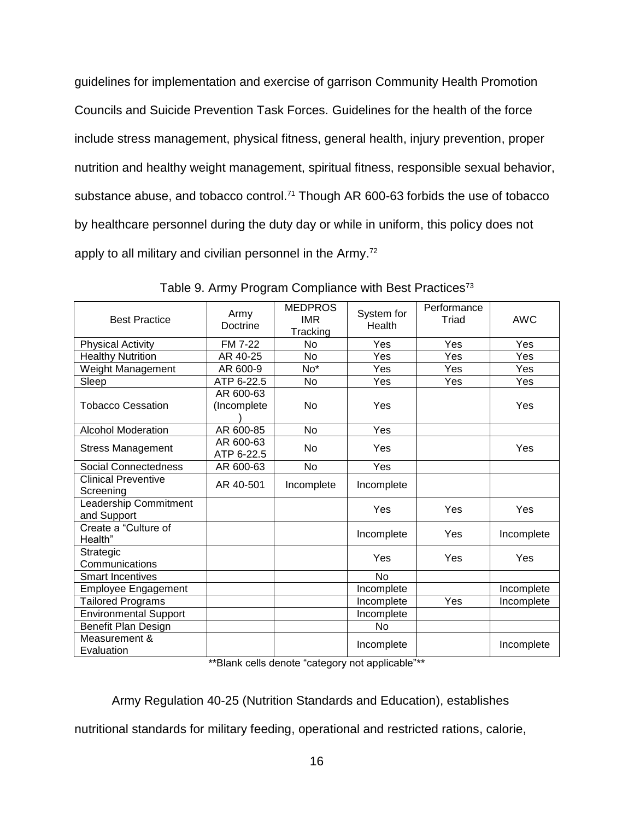guidelines for implementation and exercise of garrison Community Health Promotion Councils and Suicide Prevention Task Forces. Guidelines for the health of the force include stress management, physical fitness, general health, injury prevention, proper nutrition and healthy weight management, spiritual fitness, responsible sexual behavior, substance abuse, and tobacco control.<sup>71</sup> Though AR 600-63 forbids the use of tobacco by healthcare personnel during the duty day or while in uniform, this policy does not apply to all military and civilian personnel in the Army.<sup>72</sup>

| <b>Best Practice</b>                    | Army<br>Doctrine         | <b>MEDPROS</b><br><b>IMR</b><br>Tracking | System for<br>Health | Performance<br>Triad | AWC        |
|-----------------------------------------|--------------------------|------------------------------------------|----------------------|----------------------|------------|
| <b>Physical Activity</b>                | <b>FM 7-22</b>           | No                                       | Yes                  | Yes                  | Yes        |
| <b>Healthy Nutrition</b>                | AR 40-25                 | <b>No</b>                                | Yes                  | Yes                  | Yes        |
| Weight Management                       | AR 600-9                 | No*                                      | Yes                  | Yes                  | Yes        |
| Sleep                                   | ATP 6-22.5               | No                                       | Yes                  | Yes                  | Yes        |
| <b>Tobacco Cessation</b>                | AR 600-63<br>(Incomplete | <b>No</b>                                | Yes                  |                      | Yes        |
| <b>Alcohol Moderation</b>               | AR 600-85                | No                                       | Yes                  |                      |            |
| <b>Stress Management</b>                | AR 600-63<br>ATP 6-22.5  | <b>No</b>                                | Yes                  |                      | Yes        |
| Social Connectedness                    | AR 600-63                | No                                       | Yes                  |                      |            |
| <b>Clinical Preventive</b><br>Screening | AR 40-501                | Incomplete                               | Incomplete           |                      |            |
| Leadership Commitment<br>and Support    |                          |                                          | Yes                  | Yes                  | Yes        |
| Create a "Culture of<br>Health"         |                          |                                          | Incomplete           | Yes                  | Incomplete |
| Strategic<br>Communications             |                          |                                          | Yes                  | Yes                  | Yes        |
| <b>Smart Incentives</b>                 |                          |                                          | No                   |                      |            |
| Employee Engagement                     |                          |                                          | Incomplete           |                      | Incomplete |
| <b>Tailored Programs</b>                |                          |                                          | Incomplete           | Yes                  | Incomplete |
| <b>Environmental Support</b>            |                          |                                          | Incomplete           |                      |            |
| Benefit Plan Design                     |                          |                                          | No                   |                      |            |
| Measurement &<br>Evaluation             |                          |                                          | Incomplete           |                      | Incomplete |

Table 9. Army Program Compliance with Best Practices<sup>73</sup>

\*\*Blank cells denote "category not applicable"\*\*

Army Regulation 40-25 (Nutrition Standards and Education), establishes

nutritional standards for military feeding, operational and restricted rations, calorie,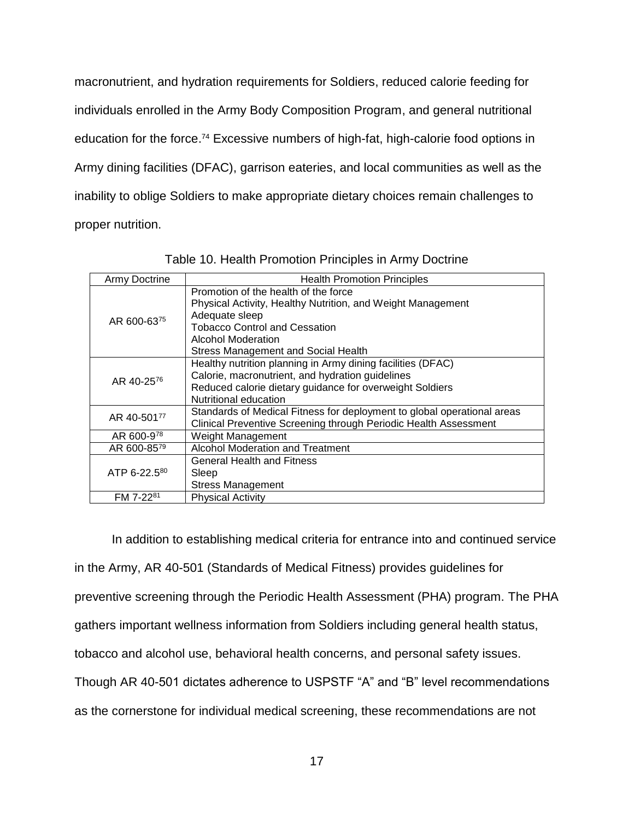macronutrient, and hydration requirements for Soldiers, reduced calorie feeding for individuals enrolled in the Army Body Composition Program, and general nutritional education for the force.<sup>74</sup> Excessive numbers of high-fat, high-calorie food options in Army dining facilities (DFAC), garrison eateries, and local communities as well as the inability to oblige Soldiers to make appropriate dietary choices remain challenges to proper nutrition.

| Army Doctrine | <b>Health Promotion Principles</b>                                      |
|---------------|-------------------------------------------------------------------------|
| AR 600-6375   | Promotion of the health of the force                                    |
|               | Physical Activity, Healthy Nutrition, and Weight Management             |
|               | Adequate sleep                                                          |
|               | <b>Tobacco Control and Cessation</b>                                    |
|               | Alcohol Moderation                                                      |
|               | <b>Stress Management and Social Health</b>                              |
|               | Healthy nutrition planning in Army dining facilities (DFAC)             |
| AR 40-2576    | Calorie, macronutrient, and hydration guidelines                        |
|               | Reduced calorie dietary guidance for overweight Soldiers                |
|               | Nutritional education                                                   |
| AR 40-50177   | Standards of Medical Fitness for deployment to global operational areas |
|               | Clinical Preventive Screening through Periodic Health Assessment        |
| AR 600-978    | Weight Management                                                       |
| AR 600-8579   | Alcohol Moderation and Treatment                                        |
|               | <b>General Health and Fitness</b>                                       |
| ATP 6-22.580  | Sleep                                                                   |
|               | <b>Stress Management</b>                                                |
| FM 7-2281     | <b>Physical Activity</b>                                                |

Table 10. Health Promotion Principles in Army Doctrine

In addition to establishing medical criteria for entrance into and continued service in the Army, AR 40-501 (Standards of Medical Fitness) provides guidelines for preventive screening through the Periodic Health Assessment (PHA) program. The PHA gathers important wellness information from Soldiers including general health status, tobacco and alcohol use, behavioral health concerns, and personal safety issues. Though AR 40-501 dictates adherence to USPSTF "A" and "B" level recommendations as the cornerstone for individual medical screening, these recommendations are not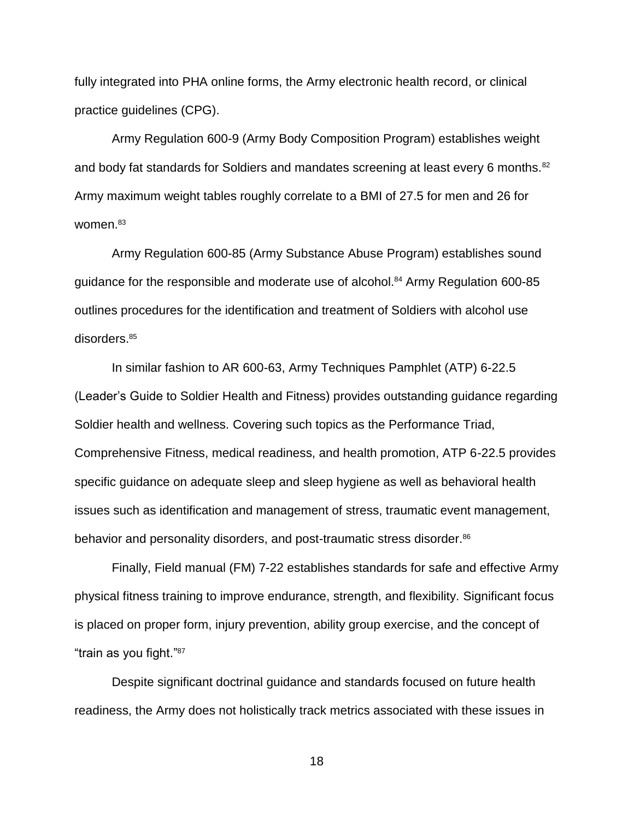fully integrated into PHA online forms, the Army electronic health record, or clinical practice guidelines (CPG).

Army Regulation 600-9 (Army Body Composition Program) establishes weight and body fat standards for Soldiers and mandates screening at least every 6 months.<sup>82</sup> Army maximum weight tables roughly correlate to a BMI of 27.5 for men and 26 for women.<sup>83</sup>

Army Regulation 600-85 (Army Substance Abuse Program) establishes sound guidance for the responsible and moderate use of alcohol.<sup>84</sup> Army Regulation 600-85 outlines procedures for the identification and treatment of Soldiers with alcohol use disorders.<sup>85</sup>

In similar fashion to AR 600-63, Army Techniques Pamphlet (ATP) 6-22.5 (Leader's Guide to Soldier Health and Fitness) provides outstanding guidance regarding Soldier health and wellness. Covering such topics as the Performance Triad, Comprehensive Fitness, medical readiness, and health promotion, ATP 6-22.5 provides specific guidance on adequate sleep and sleep hygiene as well as behavioral health issues such as identification and management of stress, traumatic event management, behavior and personality disorders, and post-traumatic stress disorder.<sup>86</sup>

Finally, Field manual (FM) 7-22 establishes standards for safe and effective Army physical fitness training to improve endurance, strength, and flexibility. Significant focus is placed on proper form, injury prevention, ability group exercise, and the concept of "train as you fight." 87

Despite significant doctrinal guidance and standards focused on future health readiness, the Army does not holistically track metrics associated with these issues in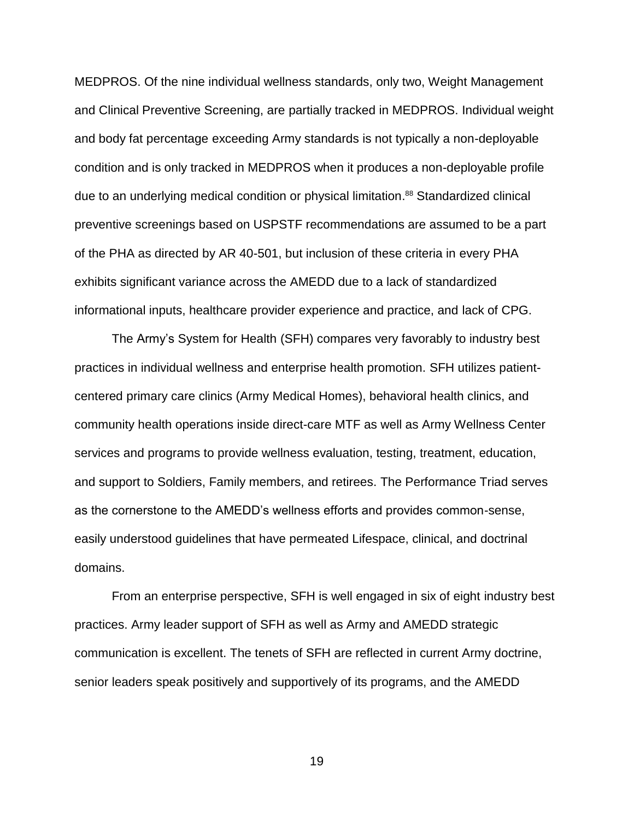MEDPROS. Of the nine individual wellness standards, only two, Weight Management and Clinical Preventive Screening, are partially tracked in MEDPROS. Individual weight and body fat percentage exceeding Army standards is not typically a non-deployable condition and is only tracked in MEDPROS when it produces a non-deployable profile due to an underlying medical condition or physical limitation. <sup>88</sup> Standardized clinical preventive screenings based on USPSTF recommendations are assumed to be a part of the PHA as directed by AR 40-501, but inclusion of these criteria in every PHA exhibits significant variance across the AMEDD due to a lack of standardized informational inputs, healthcare provider experience and practice, and lack of CPG.

The Army's System for Health (SFH) compares very favorably to industry best practices in individual wellness and enterprise health promotion. SFH utilizes patientcentered primary care clinics (Army Medical Homes), behavioral health clinics, and community health operations inside direct-care MTF as well as Army Wellness Center services and programs to provide wellness evaluation, testing, treatment, education, and support to Soldiers, Family members, and retirees. The Performance Triad serves as the cornerstone to the AMEDD's wellness efforts and provides common-sense, easily understood guidelines that have permeated Lifespace, clinical, and doctrinal domains.

From an enterprise perspective, SFH is well engaged in six of eight industry best practices. Army leader support of SFH as well as Army and AMEDD strategic communication is excellent. The tenets of SFH are reflected in current Army doctrine, senior leaders speak positively and supportively of its programs, and the AMEDD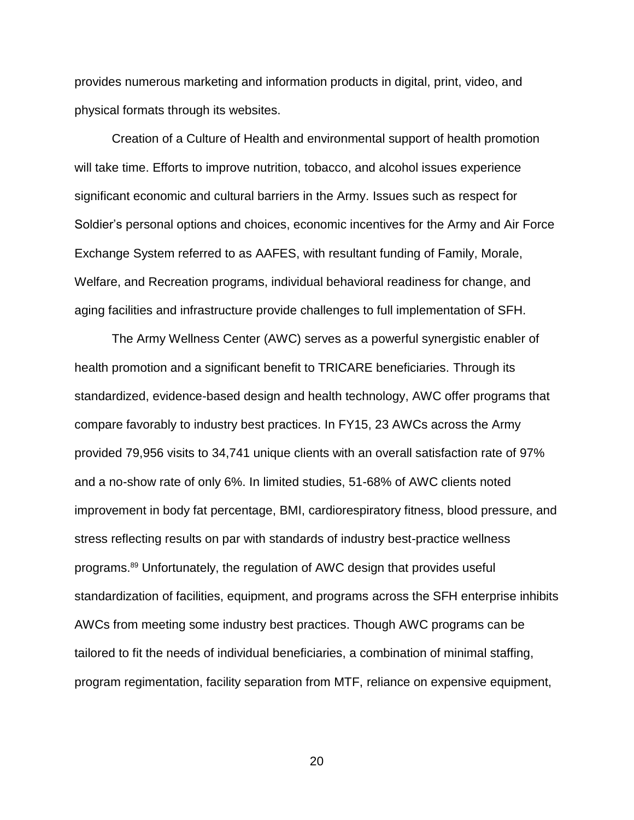provides numerous marketing and information products in digital, print, video, and physical formats through its websites.

Creation of a Culture of Health and environmental support of health promotion will take time. Efforts to improve nutrition, tobacco, and alcohol issues experience significant economic and cultural barriers in the Army. Issues such as respect for Soldier's personal options and choices, economic incentives for the Army and Air Force Exchange System referred to as AAFES, with resultant funding of Family, Morale, Welfare, and Recreation programs, individual behavioral readiness for change, and aging facilities and infrastructure provide challenges to full implementation of SFH.

The Army Wellness Center (AWC) serves as a powerful synergistic enabler of health promotion and a significant benefit to TRICARE beneficiaries. Through its standardized, evidence-based design and health technology, AWC offer programs that compare favorably to industry best practices. In FY15, 23 AWCs across the Army provided 79,956 visits to 34,741 unique clients with an overall satisfaction rate of 97% and a no-show rate of only 6%. In limited studies, 51-68% of AWC clients noted improvement in body fat percentage, BMI, cardiorespiratory fitness, blood pressure, and stress reflecting results on par with standards of industry best-practice wellness programs.<sup>89</sup> Unfortunately, the regulation of AWC design that provides useful standardization of facilities, equipment, and programs across the SFH enterprise inhibits AWCs from meeting some industry best practices. Though AWC programs can be tailored to fit the needs of individual beneficiaries, a combination of minimal staffing, program regimentation, facility separation from MTF, reliance on expensive equipment,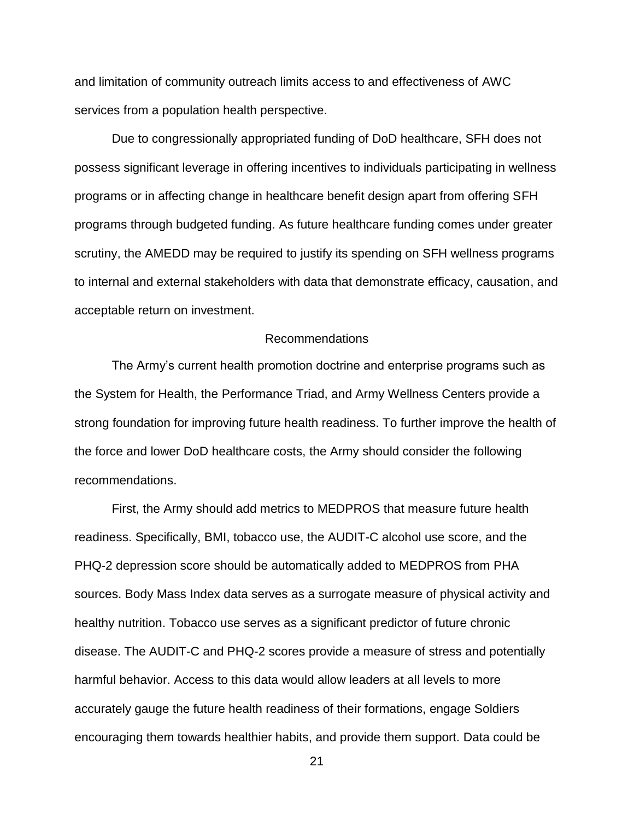and limitation of community outreach limits access to and effectiveness of AWC services from a population health perspective.

Due to congressionally appropriated funding of DoD healthcare, SFH does not possess significant leverage in offering incentives to individuals participating in wellness programs or in affecting change in healthcare benefit design apart from offering SFH programs through budgeted funding. As future healthcare funding comes under greater scrutiny, the AMEDD may be required to justify its spending on SFH wellness programs to internal and external stakeholders with data that demonstrate efficacy, causation, and acceptable return on investment.

### Recommendations

The Army's current health promotion doctrine and enterprise programs such as the System for Health, the Performance Triad, and Army Wellness Centers provide a strong foundation for improving future health readiness. To further improve the health of the force and lower DoD healthcare costs, the Army should consider the following recommendations.

First, the Army should add metrics to MEDPROS that measure future health readiness. Specifically, BMI, tobacco use, the AUDIT-C alcohol use score, and the PHQ-2 depression score should be automatically added to MEDPROS from PHA sources. Body Mass Index data serves as a surrogate measure of physical activity and healthy nutrition. Tobacco use serves as a significant predictor of future chronic disease. The AUDIT-C and PHQ-2 scores provide a measure of stress and potentially harmful behavior. Access to this data would allow leaders at all levels to more accurately gauge the future health readiness of their formations, engage Soldiers encouraging them towards healthier habits, and provide them support. Data could be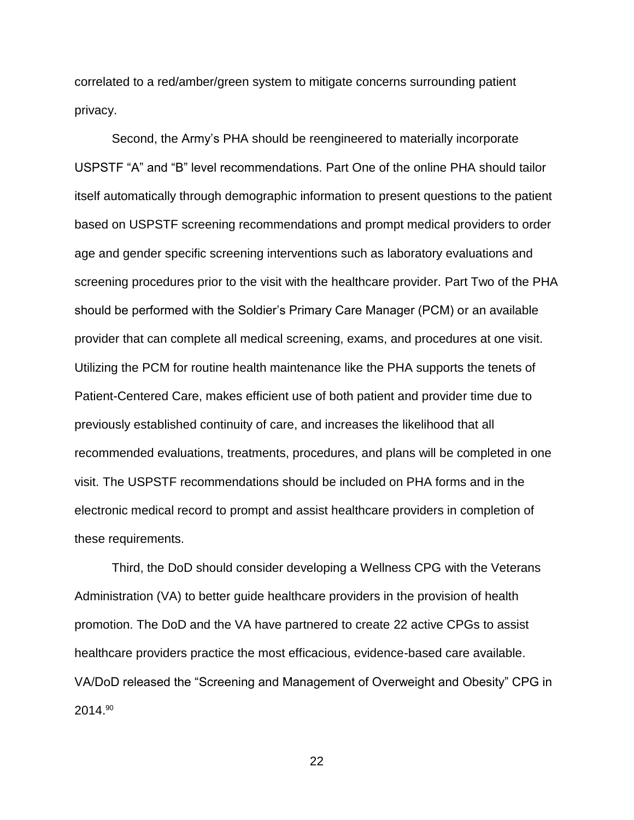correlated to a red/amber/green system to mitigate concerns surrounding patient privacy.

Second, the Army's PHA should be reengineered to materially incorporate USPSTF "A" and "B" level recommendations. Part One of the online PHA should tailor itself automatically through demographic information to present questions to the patient based on USPSTF screening recommendations and prompt medical providers to order age and gender specific screening interventions such as laboratory evaluations and screening procedures prior to the visit with the healthcare provider. Part Two of the PHA should be performed with the Soldier's Primary Care Manager (PCM) or an available provider that can complete all medical screening, exams, and procedures at one visit. Utilizing the PCM for routine health maintenance like the PHA supports the tenets of Patient-Centered Care, makes efficient use of both patient and provider time due to previously established continuity of care, and increases the likelihood that all recommended evaluations, treatments, procedures, and plans will be completed in one visit. The USPSTF recommendations should be included on PHA forms and in the electronic medical record to prompt and assist healthcare providers in completion of these requirements.

Third, the DoD should consider developing a Wellness CPG with the Veterans Administration (VA) to better guide healthcare providers in the provision of health promotion. The DoD and the VA have partnered to create 22 active CPGs to assist healthcare providers practice the most efficacious, evidence-based care available. VA/DoD released the "Screening and Management of Overweight and Obesity" CPG in 2014.90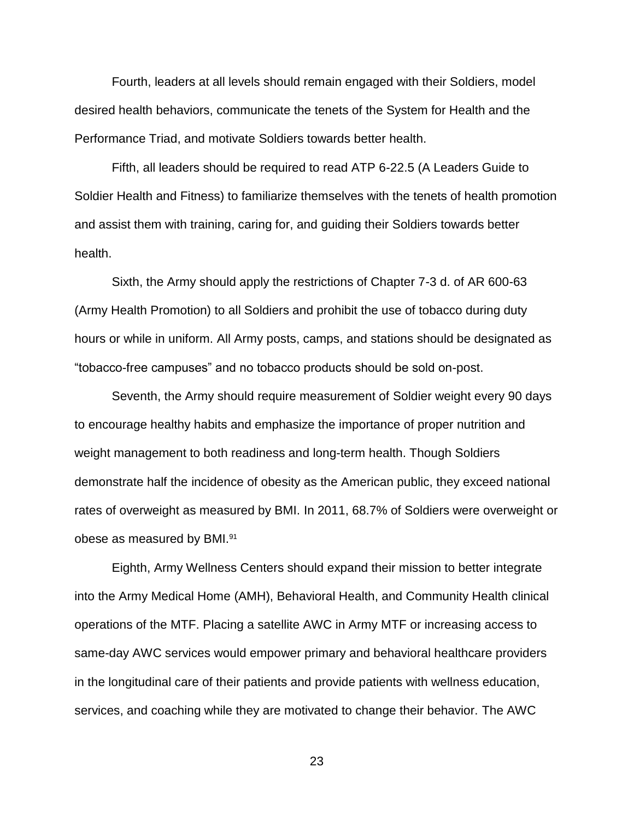Fourth, leaders at all levels should remain engaged with their Soldiers, model desired health behaviors, communicate the tenets of the System for Health and the Performance Triad, and motivate Soldiers towards better health.

Fifth, all leaders should be required to read ATP 6-22.5 (A Leaders Guide to Soldier Health and Fitness) to familiarize themselves with the tenets of health promotion and assist them with training, caring for, and guiding their Soldiers towards better health.

Sixth, the Army should apply the restrictions of Chapter 7-3 d. of AR 600-63 (Army Health Promotion) to all Soldiers and prohibit the use of tobacco during duty hours or while in uniform. All Army posts, camps, and stations should be designated as "tobacco-free campuses" and no tobacco products should be sold on-post.

Seventh, the Army should require measurement of Soldier weight every 90 days to encourage healthy habits and emphasize the importance of proper nutrition and weight management to both readiness and long-term health. Though Soldiers demonstrate half the incidence of obesity as the American public, they exceed national rates of overweight as measured by BMI. In 2011, 68.7% of Soldiers were overweight or obese as measured by BMI.<sup>91</sup>

Eighth, Army Wellness Centers should expand their mission to better integrate into the Army Medical Home (AMH), Behavioral Health, and Community Health clinical operations of the MTF. Placing a satellite AWC in Army MTF or increasing access to same-day AWC services would empower primary and behavioral healthcare providers in the longitudinal care of their patients and provide patients with wellness education, services, and coaching while they are motivated to change their behavior. The AWC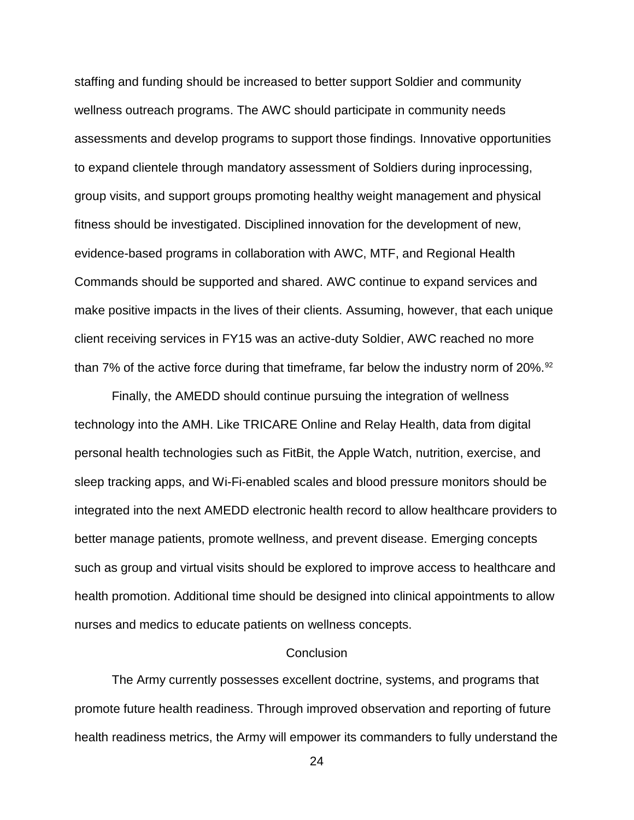staffing and funding should be increased to better support Soldier and community wellness outreach programs. The AWC should participate in community needs assessments and develop programs to support those findings. Innovative opportunities to expand clientele through mandatory assessment of Soldiers during inprocessing, group visits, and support groups promoting healthy weight management and physical fitness should be investigated. Disciplined innovation for the development of new, evidence-based programs in collaboration with AWC, MTF, and Regional Health Commands should be supported and shared. AWC continue to expand services and make positive impacts in the lives of their clients. Assuming, however, that each unique client receiving services in FY15 was an active-duty Soldier, AWC reached no more than 7% of the active force during that timeframe, far below the industry norm of 20%.<sup>92</sup>

Finally, the AMEDD should continue pursuing the integration of wellness technology into the AMH. Like TRICARE Online and Relay Health, data from digital personal health technologies such as FitBit, the Apple Watch, nutrition, exercise, and sleep tracking apps, and Wi-Fi-enabled scales and blood pressure monitors should be integrated into the next AMEDD electronic health record to allow healthcare providers to better manage patients, promote wellness, and prevent disease. Emerging concepts such as group and virtual visits should be explored to improve access to healthcare and health promotion. Additional time should be designed into clinical appointments to allow nurses and medics to educate patients on wellness concepts.

### **Conclusion**

The Army currently possesses excellent doctrine, systems, and programs that promote future health readiness. Through improved observation and reporting of future health readiness metrics, the Army will empower its commanders to fully understand the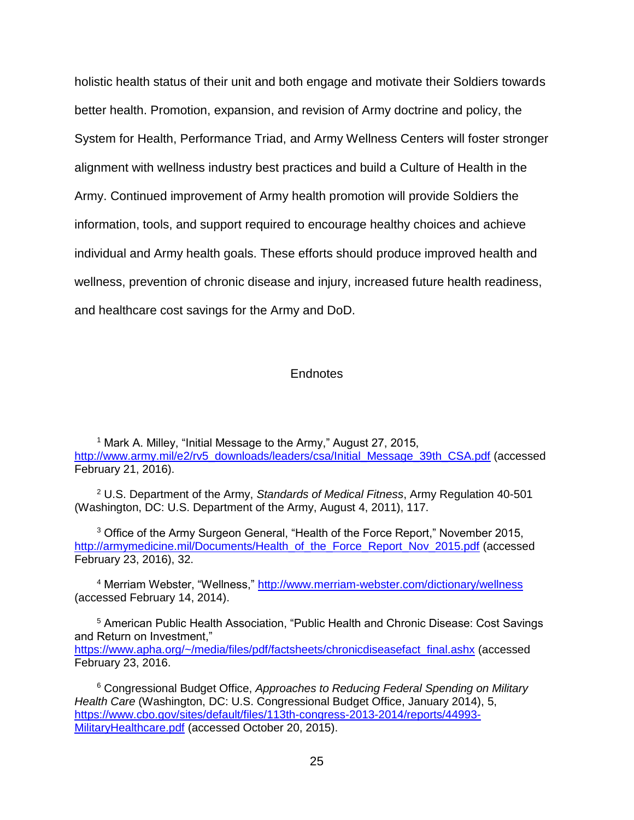holistic health status of their unit and both engage and motivate their Soldiers towards better health. Promotion, expansion, and revision of Army doctrine and policy, the System for Health, Performance Triad, and Army Wellness Centers will foster stronger alignment with wellness industry best practices and build a Culture of Health in the Army. Continued improvement of Army health promotion will provide Soldiers the information, tools, and support required to encourage healthy choices and achieve individual and Army health goals. These efforts should produce improved health and wellness, prevention of chronic disease and injury, increased future health readiness, and healthcare cost savings for the Army and DoD.

### **Endnotes**

<sup>1</sup> Mark A. Milley, "Initial Message to the Army," August 27, 2015, [http://www.army.mil/e2/rv5\\_downloads/leaders/csa/Initial\\_Message\\_39th\\_CSA.pdf](http://www.army.mil/e2/rv5_downloads/leaders/csa/Initial_Message_39th_CSA.pdf) (accessed February 21, 2016).

<sup>2</sup> U.S. Department of the Army, *Standards of Medical Fitness*, Army Regulation 40-501 (Washington, DC: U.S. Department of the Army, August 4, 2011), 117.

<sup>3</sup> Office of the Army Surgeon General, "Health of the Force Report," November 2015, [http://armymedicine.mil/Documents/Health\\_of\\_the\\_Force\\_Report\\_Nov\\_2015.pdf](http://armymedicine.mil/Documents/Health_of_the_Force_Report_Nov_2015.pdf) (accessed February 23, 2016), 32.

<sup>4</sup> Merriam Webster, "Wellness,"<http://www.merriam-webster.com/dictionary/wellness> (accessed February 14, 2014).

<sup>5</sup> American Public Health Association, "Public Health and Chronic Disease: Cost Savings and Return on Investment," [https://www.apha.org/~/media/files/pdf/factsheets/chronicdiseasefact\\_final.ashx](https://www.apha.org/~/media/files/pdf/factsheets/chronicdiseasefact_final.ashx) (accessed February 23, 2016.

<sup>6</sup> Congressional Budget Office, *Approaches to Reducing Federal Spending on Military Health Care* (Washington, DC: U.S. Congressional Budget Office, January 2014), 5, [https://www.cbo.gov/sites/default/files/113th-congress-2013-2014/reports/44993-](https://www.cbo.gov/sites/default/files/113th-congress-2013-2014/reports/44993-MilitaryHealthcare.pdf) [MilitaryHealthcare.pdf](https://www.cbo.gov/sites/default/files/113th-congress-2013-2014/reports/44993-MilitaryHealthcare.pdf) (accessed October 20, 2015).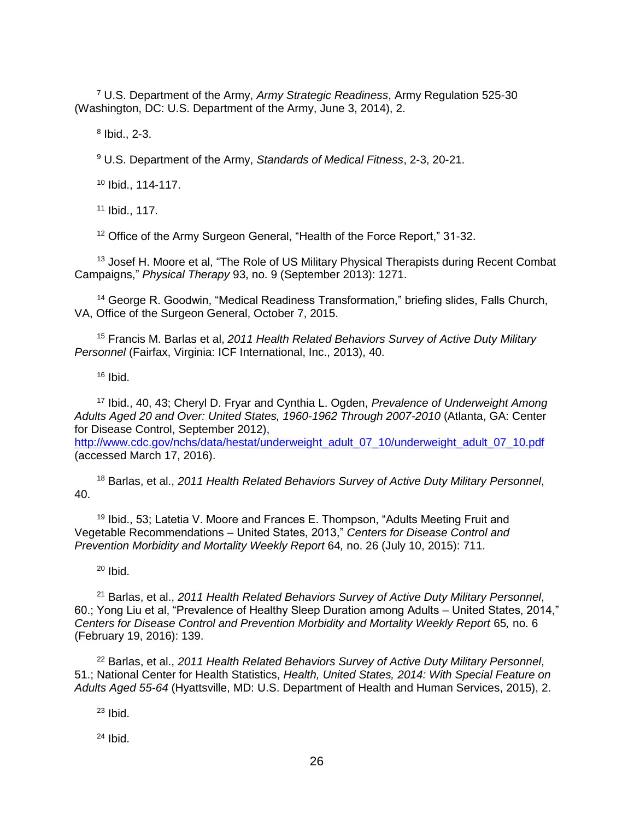<sup>7</sup> U.S. Department of the Army, *Army Strategic Readiness*, Army Regulation 525-30 (Washington, DC: U.S. Department of the Army, June 3, 2014), 2.

 $8$  Ibid., 2-3.

<sup>9</sup> U.S. Department of the Army, *Standards of Medical Fitness*, 2-3, 20-21.

<sup>10</sup> Ibid., 114-117.

<sup>11</sup> Ibid., 117.

<sup>12</sup> Office of the Army Surgeon General, "Health of the Force Report," 31-32.

<sup>13</sup> Josef H. Moore et al, "The Role of US Military Physical Therapists during Recent Combat Campaigns," *Physical Therapy* 93, no. 9 (September 2013): 1271.

<sup>14</sup> George R. Goodwin, "Medical Readiness Transformation," briefing slides, Falls Church, VA, Office of the Surgeon General, October 7, 2015.

<sup>15</sup> Francis M. Barlas et al, *2011 Health Related Behaviors Survey of Active Duty Military Personnel* (Fairfax, Virginia: ICF International, Inc., 2013), 40.

 $16$  Ibid.

<sup>17</sup> Ibid., 40, 43; Cheryl D. Fryar and Cynthia L. Ogden, *Prevalence of Underweight Among Adults Aged 20 and Over: United States, 1960-1962 Through 2007-2010* (Atlanta, GA: Center for Disease Control, September 2012),

[http://www.cdc.gov/nchs/data/hestat/underweight\\_adult\\_07\\_10/underweight\\_adult\\_07\\_10.pdf](http://www.cdc.gov/nchs/data/hestat/underweight_adult_07_10/underweight_adult_07_10.pdf) (accessed March 17, 2016).

<sup>18</sup> Barlas, et al., *2011 Health Related Behaviors Survey of Active Duty Military Personnel*, 40.

<sup>19</sup> Ibid., 53; Latetia V. Moore and Frances E. Thompson, "Adults Meeting Fruit and Vegetable Recommendations – United States, 2013," *Centers for Disease Control and Prevention Morbidity and Mortality Weekly Report 64, no. 26 (July 10, 2015): 711.* 

 $20$  Ibid.

<sup>21</sup> Barlas, et al., *2011 Health Related Behaviors Survey of Active Duty Military Personnel*, 60.; Yong Liu et al, "Prevalence of Healthy Sleep Duration among Adults – United States, 2014," *Centers for Disease Control and Prevention Morbidity and Mortality Weekly Report* 65*,* no. 6 (February 19, 2016): 139.

<sup>22</sup> Barlas, et al., *2011 Health Related Behaviors Survey of Active Duty Military Personnel*, 51.; National Center for Health Statistics, *Health, United States, 2014: With Special Feature on Adults Aged 55-64* (Hyattsville, MD: U.S. Department of Health and Human Services, 2015), 2.

 $23$  Ibid.

 $24$  Ibid.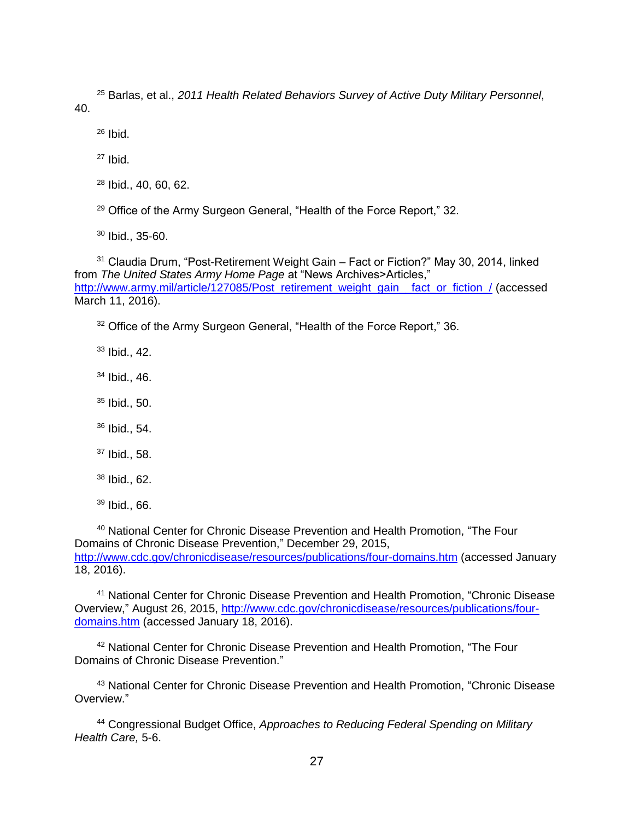<sup>25</sup> Barlas, et al., *2011 Health Related Behaviors Survey of Active Duty Military Personnel*, 40.

 $26$  Ibid.  $27$  Ibid.

<sup>28</sup> Ibid., 40, 60, 62.

<sup>29</sup> Office of the Army Surgeon General, "Health of the Force Report," 32.

<sup>30</sup> Ibid., 35-60.

<sup>31</sup> Claudia Drum, "Post-Retirement Weight Gain – Fact or Fiction?" May 30, 2014, linked from *The United States Army Home Page* at "News Archives>Articles," http://www.army.mil/article/127085/Post\_retirement\_weight\_gain\_fact\_or\_fiction\_/ (accessed March 11, 2016).

<sup>32</sup> Office of the Army Surgeon General, "Health of the Force Report," 36.

<sup>33</sup> Ibid., 42.

<sup>34</sup> Ibid., 46.

<sup>35</sup> Ibid., 50.

<sup>36</sup> Ibid., 54.

<sup>37</sup> Ibid., 58.

<sup>38</sup> Ibid., 62.

<sup>39</sup> Ibid., 66.

<sup>40</sup> National Center for Chronic Disease Prevention and Health Promotion, "The Four Domains of Chronic Disease Prevention," December 29, 2015, <http://www.cdc.gov/chronicdisease/resources/publications/four-domains.htm> (accessed January 18, 2016).

<sup>41</sup> National Center for Chronic Disease Prevention and Health Promotion, "Chronic Disease Overview," August 26, 2015, [http://www.cdc.gov/chronicdisease/resources/publications/four](http://www.cdc.gov/chronicdisease/resources/publications/four-domains.htm)[domains.htm](http://www.cdc.gov/chronicdisease/resources/publications/four-domains.htm) (accessed January 18, 2016).

<sup>42</sup> National Center for Chronic Disease Prevention and Health Promotion, "The Four Domains of Chronic Disease Prevention."

<sup>43</sup> National Center for Chronic Disease Prevention and Health Promotion, "Chronic Disease Overview."

<sup>44</sup> Congressional Budget Office, *Approaches to Reducing Federal Spending on Military Health Care,* 5-6.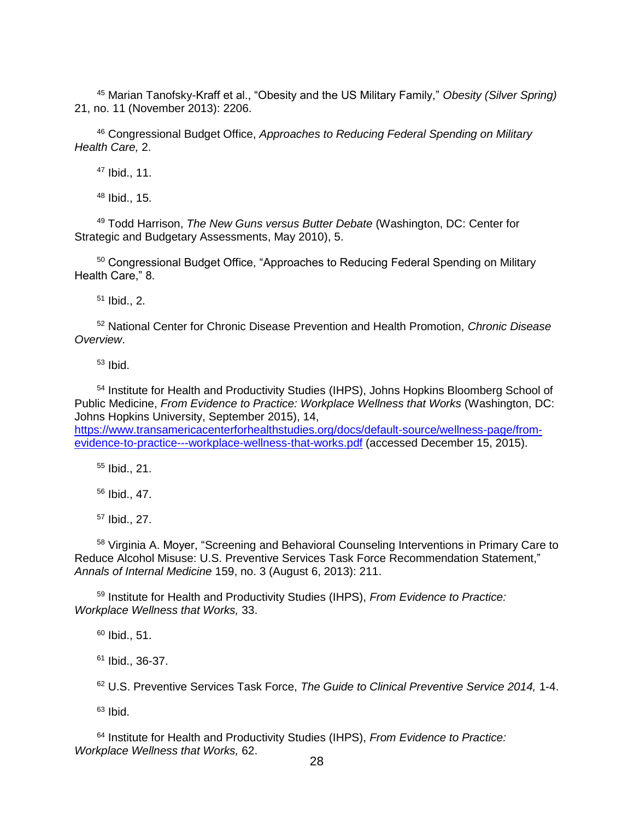<sup>45</sup> Marian Tanofsky-Kraff et al., "Obesity and the US Military Family," *Obesity (Silver Spring)*  21, no. 11 (November 2013): 2206.

<sup>46</sup> Congressional Budget Office, *Approaches to Reducing Federal Spending on Military Health Care,* 2.

<sup>47</sup> Ibid., 11.

<sup>48</sup> Ibid., 15.

<sup>49</sup> Todd Harrison, *The New Guns versus Butter Debate* (Washington, DC: Center for Strategic and Budgetary Assessments, May 2010), 5.

<sup>50</sup> Congressional Budget Office, "Approaches to Reducing Federal Spending on Military Health Care." 8.

 $51$  Ibid., 2.

<sup>52</sup> National Center for Chronic Disease Prevention and Health Promotion, *Chronic Disease Overview*.

 $53$  Ibid.

<sup>54</sup> Institute for Health and Productivity Studies (IHPS), Johns Hopkins Bloomberg School of Public Medicine, *From Evidence to Practice: Workplace Wellness that Works* (Washington, DC: Johns Hopkins University, September 2015), 14,

[https://www.transamericacenterforhealthstudies.org/docs/default-source/wellness-page/from](https://www.transamericacenterforhealthstudies.org/docs/default-source/wellness-page/from-evidence-to-practice---workplace-wellness-that-works.pdf)[evidence-to-practice---workplace-wellness-that-works.pdf](https://www.transamericacenterforhealthstudies.org/docs/default-source/wellness-page/from-evidence-to-practice---workplace-wellness-that-works.pdf) (accessed December 15, 2015).

<sup>55</sup> Ibid., 21.

<sup>56</sup> Ibid., 47.

<sup>57</sup> Ibid., 27.

<sup>58</sup> Virginia A. Moyer, "Screening and Behavioral Counseling Interventions in Primary Care to Reduce Alcohol Misuse: U.S. Preventive Services Task Force Recommendation Statement," *Annals of Internal Medicine* 159, no. 3 (August 6, 2013): 211.

<sup>59</sup> Institute for Health and Productivity Studies (IHPS), *From Evidence to Practice: Workplace Wellness that Works,* 33.

 $60$  Ibid., 51.

 $61$  Ibid., 36-37.

<sup>62</sup> U.S. Preventive Services Task Force, *The Guide to Clinical Preventive Service 2014,* 1-4.

 $63$  Ibid.

<sup>64</sup> Institute for Health and Productivity Studies (IHPS), *From Evidence to Practice: Workplace Wellness that Works,* 62.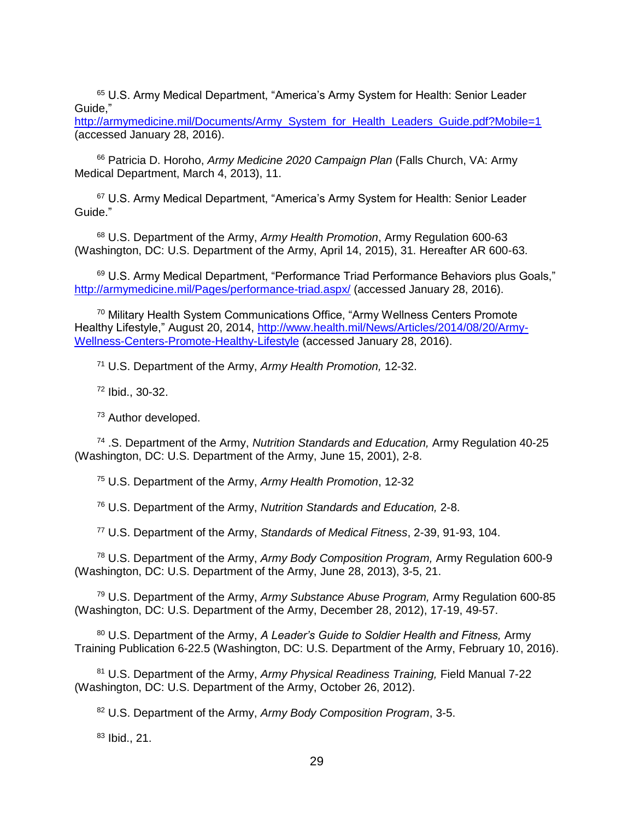<sup>65</sup> U.S. Army Medical Department, "America's Army System for Health: Senior Leader Guide,"

[http://armymedicine.mil/Documents/Army\\_System\\_for\\_Health\\_Leaders\\_Guide.pdf?Mobile=1](http://armymedicine.mil/Documents/Army_System_for_Health_Leaders_Guide.pdf?Mobile=1) (accessed January 28, 2016).

<sup>66</sup> Patricia D. Horoho, *Army Medicine 2020 Campaign Plan* (Falls Church, VA: Army Medical Department, March 4, 2013), 11.

<sup>67</sup> U.S. Army Medical Department, "America's Army System for Health: Senior Leader Guide."

<sup>68</sup> U.S. Department of the Army, *Army Health Promotion*, Army Regulation 600-63 (Washington, DC: U.S. Department of the Army, April 14, 2015), 31. Hereafter AR 600-63.

<sup>69</sup> U.S. Army Medical Department, "Performance Triad Performance Behaviors plus Goals," <http://armymedicine.mil/Pages/performance-triad.aspx/> (accessed January 28, 2016).

<sup>70</sup> Military Health System Communications Office, "Army Wellness Centers Promote Healthy Lifestyle," August 20, 2014, [http://www.health.mil/News/Articles/2014/08/20/Army-](http://www.health.mil/News/Articles/2014/08/20/Army-Wellness-Centers-Promote-Healthy-Lifestyle)[Wellness-Centers-Promote-Healthy-Lifestyle](http://www.health.mil/News/Articles/2014/08/20/Army-Wellness-Centers-Promote-Healthy-Lifestyle) (accessed January 28, 2016).

<sup>71</sup> U.S. Department of the Army, *Army Health Promotion,* 12-32.

<sup>72</sup> Ibid., 30-32.

<sup>73</sup> Author developed.

<sup>74</sup> .S. Department of the Army, *Nutrition Standards and Education,* Army Regulation 40-25 (Washington, DC: U.S. Department of the Army, June 15, 2001), 2-8.

<sup>75</sup> U.S. Department of the Army, *Army Health Promotion*, 12-32

<sup>76</sup> U.S. Department of the Army, *Nutrition Standards and Education,* 2-8.

<sup>77</sup> U.S. Department of the Army, *Standards of Medical Fitness*, 2-39, 91-93, 104.

<sup>78</sup> U.S. Department of the Army, *Army Body Composition Program,* Army Regulation 600-9 (Washington, DC: U.S. Department of the Army, June 28, 2013), 3-5, 21.

<sup>79</sup> U.S. Department of the Army, *Army Substance Abuse Program,* Army Regulation 600-85 (Washington, DC: U.S. Department of the Army, December 28, 2012), 17-19, 49-57.

<sup>80</sup> U.S. Department of the Army, *A Leader's Guide to Soldier Health and Fitness,* Army Training Publication 6-22.5 (Washington, DC: U.S. Department of the Army, February 10, 2016).

<sup>81</sup> U.S. Department of the Army, *Army Physical Readiness Training,* Field Manual 7-22 (Washington, DC: U.S. Department of the Army, October 26, 2012).

<sup>82</sup> U.S. Department of the Army, *Army Body Composition Program*, 3-5.

 $83$  Ibid., 21.